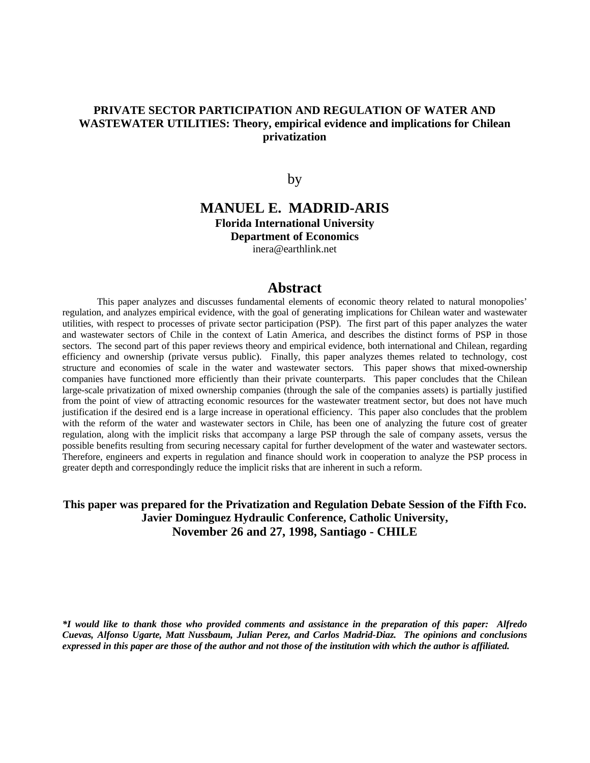## **PRIVATE SECTOR PARTICIPATION AND REGULATION OF WATER AND WASTEWATER UTILITIES: Theory, empirical evidence and implications for Chilean privatization**

by

## **MANUEL E. MADRID-ARIS Florida International University Department of Economics** inera@earthlink.net

## **Abstract**

This paper analyzes and discusses fundamental elements of economic theory related to natural monopolies' regulation, and analyzes empirical evidence, with the goal of generating implications for Chilean water and wastewater utilities, with respect to processes of private sector participation (PSP). The first part of this paper analyzes the water and wastewater sectors of Chile in the context of Latin America, and describes the distinct forms of PSP in those sectors. The second part of this paper reviews theory and empirical evidence, both international and Chilean, regarding efficiency and ownership (private versus public). Finally, this paper analyzes themes related to technology, cost structure and economies of scale in the water and wastewater sectors. This paper shows that mixed-ownership companies have functioned more efficiently than their private counterparts. This paper concludes that the Chilean large-scale privatization of mixed ownership companies (through the sale of the companies assets) is partially justified from the point of view of attracting economic resources for the wastewater treatment sector, but does not have much justification if the desired end is a large increase in operational efficiency. This paper also concludes that the problem with the reform of the water and wastewater sectors in Chile, has been one of analyzing the future cost of greater regulation, along with the implicit risks that accompany a large PSP through the sale of company assets, versus the possible benefits resulting from securing necessary capital for further development of the water and wastewater sectors. Therefore, engineers and experts in regulation and finance should work in cooperation to analyze the PSP process in greater depth and correspondingly reduce the implicit risks that are inherent in such a reform.

## **This paper was prepared for the Privatization and Regulation Debate Session of the Fifth Fco. Javier Dominguez Hydraulic Conference, Catholic University, November 26 and 27, 1998, Santiago - CHILE**

*\*I would like to thank those who provided comments and assistance in the preparation of this paper: Alfredo Cuevas, Alfonso Ugarte, Matt Nussbaum, Julian Perez, and Carlos Madrid-Diaz. The opinions and conclusions expressed in this paper are those of the author and not those of the institution with which the author is affiliated.*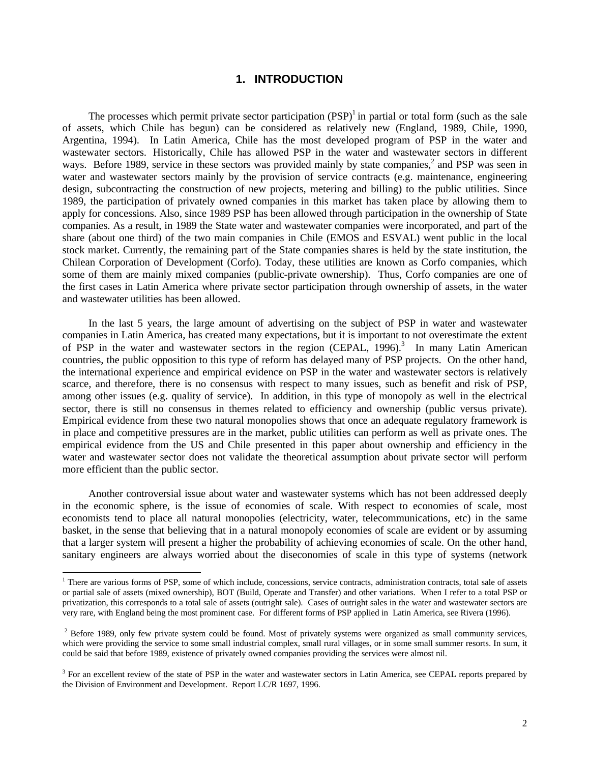## **1. INTRODUCTION**

The processes which permit private sector participation  $(PSP)^1$  in partial or total form (such as the sale of assets, which Chile has begun) can be considered as relatively new (England, 1989, Chile, 1990, Argentina, 1994). In Latin America, Chile has the most developed program of PSP in the water and wastewater sectors. Historically, Chile has allowed PSP in the water and wastewater sectors in different ways. Before 1989, service in these sectors was provided mainly by state companies,<sup>2</sup> and PSP was seen in water and wastewater sectors mainly by the provision of service contracts (e.g. maintenance, engineering design, subcontracting the construction of new projects, metering and billing) to the public utilities. Since 1989, the participation of privately owned companies in this market has taken place by allowing them to apply for concessions. Also, since 1989 PSP has been allowed through participation in the ownership of State companies. As a result, in 1989 the State water and wastewater companies were incorporated, and part of the share (about one third) of the two main companies in Chile (EMOS and ESVAL) went public in the local stock market. Currently, the remaining part of the State companies shares is held by the state institution, the Chilean Corporation of Development (Corfo). Today, these utilities are known as Corfo companies, which some of them are mainly mixed companies (public-private ownership). Thus, Corfo companies are one of the first cases in Latin America where private sector participation through ownership of assets, in the water and wastewater utilities has been allowed.

In the last 5 years, the large amount of advertising on the subject of PSP in water and wastewater companies in Latin America, has created many expectations, but it is important to not overestimate the extent of PSP in the water and wastewater sectors in the region (CEPAL, 1996).<sup>3</sup> In many Latin American countries, the public opposition to this type of reform has delayed many of PSP projects. On the other hand, the international experience and empirical evidence on PSP in the water and wastewater sectors is relatively scarce, and therefore, there is no consensus with respect to many issues, such as benefit and risk of PSP, among other issues (e.g. quality of service). In addition, in this type of monopoly as well in the electrical sector, there is still no consensus in themes related to efficiency and ownership (public versus private). Empirical evidence from these two natural monopolies shows that once an adequate regulatory framework is in place and competitive pressures are in the market, public utilities can perform as well as private ones. The empirical evidence from the US and Chile presented in this paper about ownership and efficiency in the water and wastewater sector does not validate the theoretical assumption about private sector will perform more efficient than the public sector.

Another controversial issue about water and wastewater systems which has not been addressed deeply in the economic sphere, is the issue of economies of scale. With respect to economies of scale, most economists tend to place all natural monopolies (electricity, water, telecommunications, etc) in the same basket, in the sense that believing that in a natural monopoly economies of scale are evident or by assuming that a larger system will present a higher the probability of achieving economies of scale. On the other hand, sanitary engineers are always worried about the diseconomies of scale in this type of systems (network

<sup>&</sup>lt;sup>1</sup> There are various forms of PSP, some of which include, concessions, service contracts, administration contracts, total sale of assets or partial sale of assets (mixed ownership), BOT (Build, Operate and Transfer) and other variations. When I refer to a total PSP or privatization, this corresponds to a total sale of assets (outright sale). Cases of outright sales in the water and wastewater sectors are very rare, with England being the most prominent case. For different forms of PSP applied in Latin America, see Rivera (1996).

 $2$  Before 1989, only few private system could be found. Most of privately systems were organized as small community services, which were providing the service to some small industrial complex, small rural villages, or in some small summer resorts. In sum, it could be said that before 1989, existence of privately owned companies providing the services were almost nil.

<sup>&</sup>lt;sup>3</sup> For an excellent review of the state of PSP in the water and wastewater sectors in Latin America, see CEPAL reports prepared by the Division of Environment and Development. Report LC/R 1697, 1996.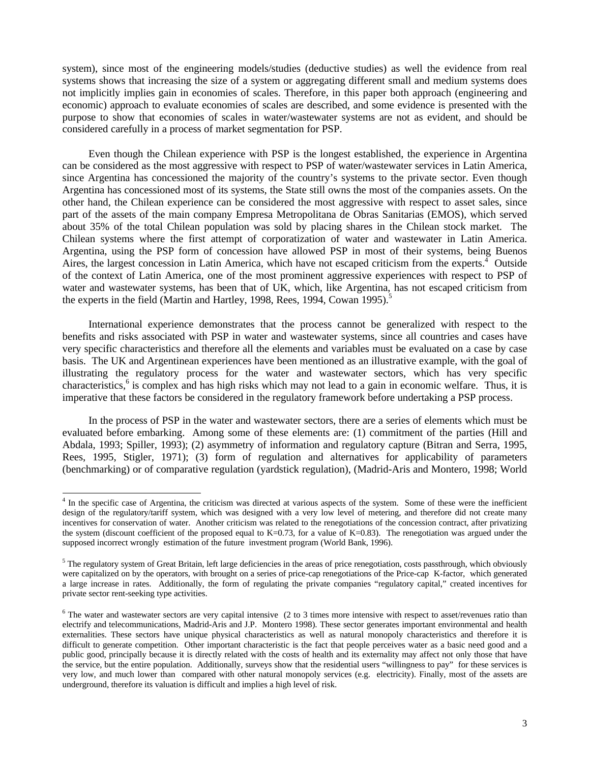system), since most of the engineering models/studies (deductive studies) as well the evidence from real systems shows that increasing the size of a system or aggregating different small and medium systems does not implicitly implies gain in economies of scales. Therefore, in this paper both approach (engineering and economic) approach to evaluate economies of scales are described, and some evidence is presented with the purpose to show that economies of scales in water/wastewater systems are not as evident, and should be considered carefully in a process of market segmentation for PSP.

Even though the Chilean experience with PSP is the longest established, the experience in Argentina can be considered as the most aggressive with respect to PSP of water/wastewater services in Latin America, since Argentina has concessioned the majority of the country's systems to the private sector. Even though Argentina has concessioned most of its systems, the State still owns the most of the companies assets. On the other hand, the Chilean experience can be considered the most aggressive with respect to asset sales, since part of the assets of the main company Empresa Metropolitana de Obras Sanitarias (EMOS), which served about 35% of the total Chilean population was sold by placing shares in the Chilean stock market. The Chilean systems where the first attempt of corporatization of water and wastewater in Latin America. Argentina, using the PSP form of concession have allowed PSP in most of their systems, being Buenos Aires, the largest concession in Latin America, which have not escaped criticism from the experts.<sup>4</sup> Outside of the context of Latin America, one of the most prominent aggressive experiences with respect to PSP of water and wastewater systems, has been that of UK, which, like Argentina, has not escaped criticism from the experts in the field (Martin and Hartley, 1998, Rees, 1994, Cowan 1995).<sup>5</sup>

International experience demonstrates that the process cannot be generalized with respect to the benefits and risks associated with PSP in water and wastewater systems, since all countries and cases have very specific characteristics and therefore all the elements and variables must be evaluated on a case by case basis. The UK and Argentinean experiences have been mentioned as an illustrative example, with the goal of illustrating the regulatory process for the water and wastewater sectors, which has very specific characteristics,<sup>6</sup> is complex and has high risks which may not lead to a gain in economic welfare. Thus, it is imperative that these factors be considered in the regulatory framework before undertaking a PSP process.

In the process of PSP in the water and wastewater sectors, there are a series of elements which must be evaluated before embarking. Among some of these elements are: (1) commitment of the parties (Hill and Abdala, 1993; Spiller, 1993); (2) asymmetry of information and regulatory capture (Bitran and Serra, 1995, Rees, 1995, Stigler, 1971); (3) form of regulation and alternatives for applicability of parameters (benchmarking) or of comparative regulation (yardstick regulation), (Madrid-Aris and Montero, 1998; World

<sup>&</sup>lt;sup>4</sup> In the specific case of Argentina, the criticism was directed at various aspects of the system. Some of these were the inefficient design of the regulatory/tariff system, which was designed with a very low level of metering, and therefore did not create many incentives for conservation of water. Another criticism was related to the renegotiations of the concession contract, after privatizing the system (discount coefficient of the proposed equal to  $K=0.73$ , for a value of  $K=0.83$ ). The renegotiation was argued under the supposed incorrect wrongly estimation of the future investment program (World Bank, 1996).

<sup>&</sup>lt;sup>5</sup> The regulatory system of Great Britain, left large deficiencies in the areas of price renegotiation, costs passthrough, which obviously were capitalized on by the operators, with brought on a series of price-cap renegotiations of the Price-cap K-factor, which generated a large increase in rates. Additionally, the form of regulating the private companies "regulatory capital," created incentives for private sector rent-seeking type activities.

<sup>&</sup>lt;sup>6</sup> The water and wastewater sectors are very capital intensive (2 to 3 times more intensive with respect to asset/revenues ratio than electrify and telecommunications, Madrid-Aris and J.P. Montero 1998). These sector generates important environmental and health externalities. These sectors have unique physical characteristics as well as natural monopoly characteristics and therefore it is difficult to generate competition. Other important characteristic is the fact that people perceives water as a basic need good and a public good, principally because it is directly related with the costs of health and its externality may affect not only those that have the service, but the entire population. Additionally, surveys show that the residential users "willingness to pay" for these services is very low, and much lower than compared with other natural monopoly services (e.g. electricity). Finally, most of the assets are underground, therefore its valuation is difficult and implies a high level of risk.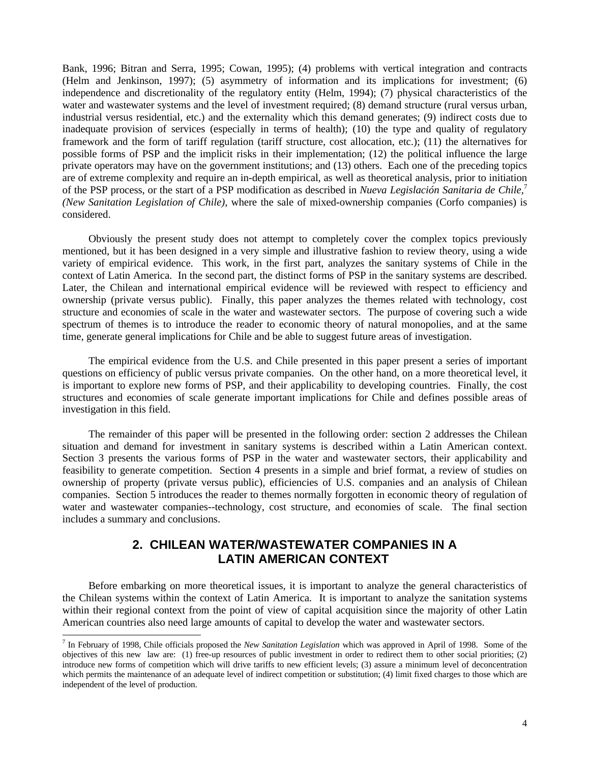Bank, 1996; Bitran and Serra, 1995; Cowan, 1995); (4) problems with vertical integration and contracts (Helm and Jenkinson, 1997); (5) asymmetry of information and its implications for investment; (6) independence and discretionality of the regulatory entity (Helm, 1994); (7) physical characteristics of the water and wastewater systems and the level of investment required; (8) demand structure (rural versus urban, industrial versus residential, etc.) and the externality which this demand generates; (9) indirect costs due to inadequate provision of services (especially in terms of health); (10) the type and quality of regulatory framework and the form of tariff regulation (tariff structure, cost allocation, etc.); (11) the alternatives for possible forms of PSP and the implicit risks in their implementation; (12) the political influence the large private operators may have on the government institutions; and (13) others. Each one of the preceding topics are of extreme complexity and require an in-depth empirical, as well as theoretical analysis, prior to initiation of the PSP process, or the start of a PSP modification as described in *Nueva Legislación Sanitaria de Chile,*<sup>7</sup> *(New Sanitation Legislation of Chile),* where the sale of mixed-ownership companies (Corfo companies) is considered.

Obviously the present study does not attempt to completely cover the complex topics previously mentioned, but it has been designed in a very simple and illustrative fashion to review theory, using a wide variety of empirical evidence. This work, in the first part, analyzes the sanitary systems of Chile in the context of Latin America. In the second part, the distinct forms of PSP in the sanitary systems are described. Later, the Chilean and international empirical evidence will be reviewed with respect to efficiency and ownership (private versus public). Finally, this paper analyzes the themes related with technology, cost structure and economies of scale in the water and wastewater sectors. The purpose of covering such a wide spectrum of themes is to introduce the reader to economic theory of natural monopolies, and at the same time, generate general implications for Chile and be able to suggest future areas of investigation.

The empirical evidence from the U.S. and Chile presented in this paper present a series of important questions on efficiency of public versus private companies. On the other hand, on a more theoretical level, it is important to explore new forms of PSP, and their applicability to developing countries. Finally, the cost structures and economies of scale generate important implications for Chile and defines possible areas of investigation in this field.

The remainder of this paper will be presented in the following order: section 2 addresses the Chilean situation and demand for investment in sanitary systems is described within a Latin American context. Section 3 presents the various forms of PSP in the water and wastewater sectors, their applicability and feasibility to generate competition. Section 4 presents in a simple and brief format, a review of studies on ownership of property (private versus public), efficiencies of U.S. companies and an analysis of Chilean companies. Section 5 introduces the reader to themes normally forgotten in economic theory of regulation of water and wastewater companies--technology, cost structure, and economies of scale. The final section includes a summary and conclusions.

# **2. CHILEAN WATER/WASTEWATER COMPANIES IN A LATIN AMERICAN CONTEXT**

Before embarking on more theoretical issues, it is important to analyze the general characteristics of the Chilean systems within the context of Latin America. It is important to analyze the sanitation systems within their regional context from the point of view of capital acquisition since the majority of other Latin American countries also need large amounts of capital to develop the water and wastewater sectors.

<sup>7</sup> In February of 1998, Chile officials proposed the *New Sanitation Legislation* which was approved in April of 1998. Some of the objectives of this new law are: (1) free-up resources of public investment in order to redirect them to other social priorities; (2) introduce new forms of competition which will drive tariffs to new efficient levels; (3) assure a minimum level of deconcentration which permits the maintenance of an adequate level of indirect competition or substitution; (4) limit fixed charges to those which are independent of the level of production.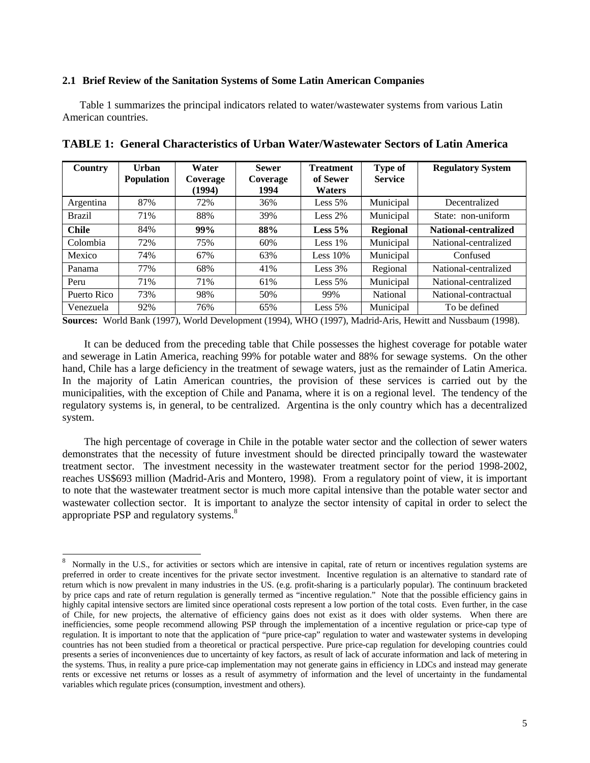### **2.1 Brief Review of the Sanitation Systems of Some Latin American Companies**

Table 1 summarizes the principal indicators related to water/wastewater systems from various Latin American countries.

| <b>Country</b> | Urban<br><b>Population</b> | Water<br>Coverage<br>(1994) | <b>Sewer</b><br>Coverage<br>1994 | <b>Treatment</b><br>of Sewer<br><b>Waters</b> | Type of<br><b>Service</b> | <b>Regulatory System</b> |
|----------------|----------------------------|-----------------------------|----------------------------------|-----------------------------------------------|---------------------------|--------------------------|
| Argentina      | 87%                        | 72%                         | 36%                              | Less $5%$                                     | Municipal                 | Decentralized            |
| <b>Brazil</b>  | 71%                        | 88%                         | 39%                              | Less $2%$                                     | Municipal                 | State: non-uniform       |
| <b>Chile</b>   | 84%                        | 99%                         | 88%                              | Less $5%$                                     | <b>Regional</b>           | National-centralized     |
| Colombia       | 72%                        | 75%                         | 60%                              | Less $1\%$                                    | Municipal                 | National-centralized     |
| Mexico         | 74%                        | 67%                         | 63%                              | Less $10%$                                    | Municipal                 | Confused                 |
| Panama         | 77%                        | 68%                         | 41%                              | Less $3%$                                     | Regional                  | National-centralized     |
| Peru           | 71%                        | 71%                         | 61%                              | Less $5%$                                     | Municipal                 | National-centralized     |
| Puerto Rico    | 73%                        | 98%                         | 50%                              | 99%                                           | National                  | National-contractual     |
| Venezuela      | 92%                        | 76%                         | 65%                              | Less $5%$                                     | Municipal                 | To be defined            |

**TABLE 1: General Characteristics of Urban Water/Wastewater Sectors of Latin America**

**Sources:** World Bank (1997), World Development (1994), WHO (1997), Madrid-Aris, Hewitt and Nussbaum (1998).

It can be deduced from the preceding table that Chile possesses the highest coverage for potable water and sewerage in Latin America, reaching 99% for potable water and 88% for sewage systems. On the other hand, Chile has a large deficiency in the treatment of sewage waters, just as the remainder of Latin America. In the majority of Latin American countries, the provision of these services is carried out by the municipalities, with the exception of Chile and Panama, where it is on a regional level. The tendency of the regulatory systems is, in general, to be centralized. Argentina is the only country which has a decentralized system.

The high percentage of coverage in Chile in the potable water sector and the collection of sewer waters demonstrates that the necessity of future investment should be directed principally toward the wastewater treatment sector. The investment necessity in the wastewater treatment sector for the period 1998-2002, reaches US\$693 million (Madrid-Aris and Montero, 1998). From a regulatory point of view, it is important to note that the wastewater treatment sector is much more capital intensive than the potable water sector and wastewater collection sector. It is important to analyze the sector intensity of capital in order to select the appropriate PSP and regulatory systems.<sup>8</sup>

<sup>8</sup> Normally in the U.S., for activities or sectors which are intensive in capital, rate of return or incentives regulation systems are preferred in order to create incentives for the private sector investment. Incentive regulation is an alternative to standard rate of return which is now prevalent in many industries in the US. (e.g. profit-sharing is a particularly popular). The continuum bracketed by price caps and rate of return regulation is generally termed as "incentive regulation." Note that the possible efficiency gains in highly capital intensive sectors are limited since operational costs represent a low portion of the total costs. Even further, in the case of Chile, for new projects, the alternative of efficiency gains does not exist as it does with older systems. When there are inefficiencies, some people recommend allowing PSP through the implementation of a incentive regulation or price-cap type of regulation. It is important to note that the application of "pure price-cap" regulation to water and wastewater systems in developing countries has not been studied from a theoretical or practical perspective. Pure price-cap regulation for developing countries could presents a series of inconveniences due to uncertainty of key factors, as result of lack of accurate information and lack of metering in the systems. Thus, in reality a pure price-cap implementation may not generate gains in efficiency in LDCs and instead may generate rents or excessive net returns or losses as a result of asymmetry of information and the level of uncertainty in the fundamental variables which regulate prices (consumption, investment and others).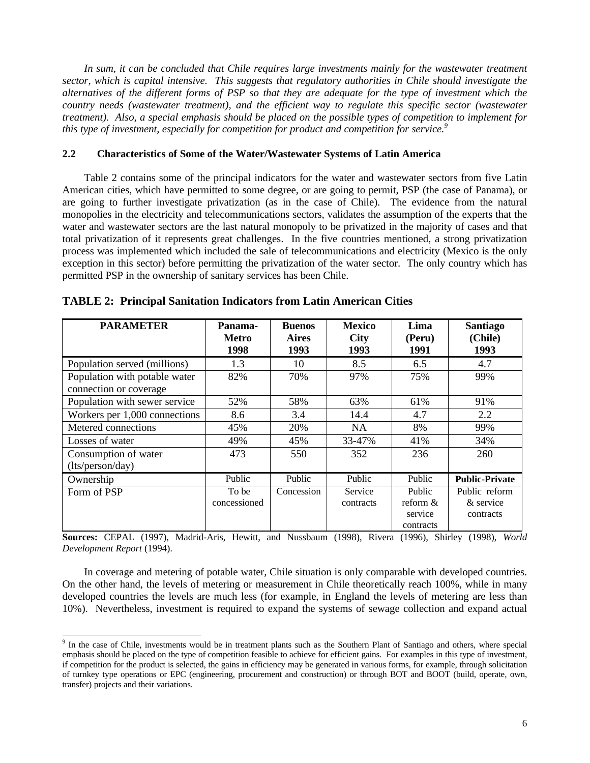*In sum, it can be concluded that Chile requires large investments mainly for the wastewater treatment sector, which is capital intensive. This suggests that regulatory authorities in Chile should investigate the alternatives of the different forms of PSP so that they are adequate for the type of investment which the country needs (wastewater treatment), and the efficient way to regulate this specific sector (wastewater treatment). Also, a special emphasis should be placed on the possible types of competition to implement for this type of investment, especially for competition for product and competition for service.<sup>9</sup>*

### **2.2 Characteristics of Some of the Water/Wastewater Systems of Latin America**

Table 2 contains some of the principal indicators for the water and wastewater sectors from five Latin American cities, which have permitted to some degree, or are going to permit, PSP (the case of Panama), or are going to further investigate privatization (as in the case of Chile). The evidence from the natural monopolies in the electricity and telecommunications sectors, validates the assumption of the experts that the water and wastewater sectors are the last natural monopoly to be privatized in the majority of cases and that total privatization of it represents great challenges. In the five countries mentioned, a strong privatization process was implemented which included the sale of telecommunications and electricity (Mexico is the only exception in this sector) before permitting the privatization of the water sector. The only country which has permitted PSP in the ownership of sanitary services has been Chile.

| <b>PARAMETER</b>              | Panama-<br><b>Metro</b><br>1998 | <b>Buenos</b><br><b>Aires</b><br>1993 | <b>Mexico</b><br><b>City</b><br>1993 | Lima<br>(Peru)<br>1991 | <b>Santiago</b><br>(Chile)<br>1993 |
|-------------------------------|---------------------------------|---------------------------------------|--------------------------------------|------------------------|------------------------------------|
| Population served (millions)  | 1.3                             | 10                                    | 8.5                                  | 6.5                    | 4.7                                |
| Population with potable water | 82%                             | 70%                                   | 97%                                  | 75%                    | 99%                                |
| connection or coverage        |                                 |                                       |                                      |                        |                                    |
| Population with sewer service | 52%                             | 58%                                   | 63%                                  | 61%                    | 91%                                |
| Workers per 1,000 connections | 8.6                             | 3.4                                   | 14.4                                 | 4.7                    | 2.2                                |
| Metered connections           | 45%                             | 20%                                   | <b>NA</b>                            | 8%                     | 99%                                |
| Losses of water               | 49%                             | 45%                                   | 33-47%                               | 41%                    | 34%                                |
| Consumption of water          | 473                             | 550                                   | 352                                  | 236                    | 260                                |
| (lts/person/day)              |                                 |                                       |                                      |                        |                                    |
| Ownership                     | Public                          | Public                                | Public                               | Public                 | <b>Public-Private</b>              |
| Form of PSP                   | To be                           | Concession                            | Service                              | Public                 | Public reform                      |
|                               | concessioned                    |                                       | contracts                            | reform $&$             | & service                          |
|                               |                                 |                                       |                                      | service                | contracts                          |
|                               |                                 |                                       |                                      | contracts              |                                    |

|  |  | <b>TABLE 2: Principal Sanitation Indicators from Latin American Cities</b> |  |  |  |  |  |
|--|--|----------------------------------------------------------------------------|--|--|--|--|--|
|--|--|----------------------------------------------------------------------------|--|--|--|--|--|

**Sources:** CEPAL (1997), Madrid-Aris, Hewitt, and Nussbaum (1998), Rivera (1996), Shirley (1998), *World Development Report* (1994).

In coverage and metering of potable water, Chile situation is only comparable with developed countries. On the other hand, the levels of metering or measurement in Chile theoretically reach 100%, while in many developed countries the levels are much less (for example, in England the levels of metering are less than 10%). Nevertheless, investment is required to expand the systems of sewage collection and expand actual

<sup>&</sup>lt;sup>9</sup> In the case of Chile, investments would be in treatment plants such as the Southern Plant of Santiago and others, where special emphasis should be placed on the type of competition feasible to achieve for efficient gains. For examples in this type of investment, if competition for the product is selected, the gains in efficiency may be generated in various forms, for example, through solicitation of turnkey type operations or EPC (engineering, procurement and construction) or through BOT and BOOT (build, operate, own, transfer) projects and their variations.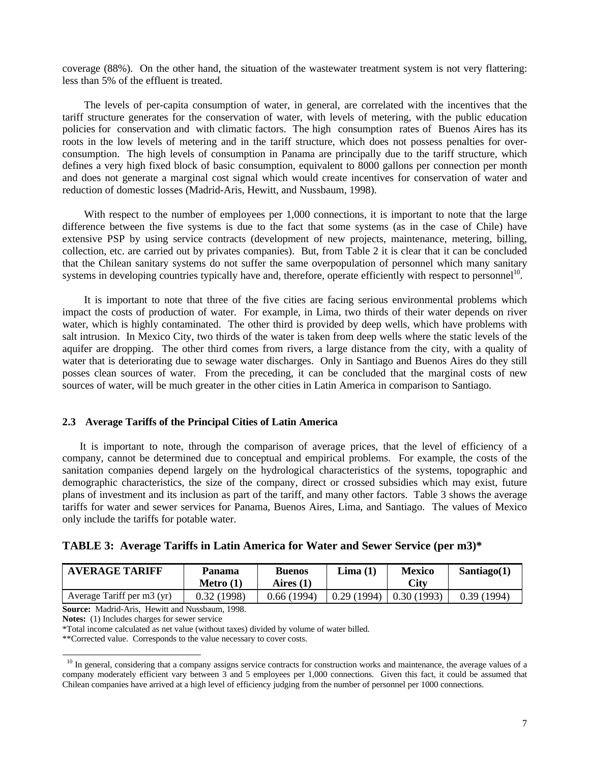coverage (88%). On the other hand, the situation of the wastewater treatment system is not very flattering: less than 5% of the effluent is treated.

The levels of per-capita consumption of water, in general, are correlated with the incentives that the tariff structure generates for the conservation of water, with levels of metering, with the public education policies for conservation and with climatic factors. The high consumption rates of Buenos Aires has its roots in the low levels of metering and in the tariff structure, which does not possess penalties for overconsumption. The high levels of consumption in Panama are principally due to the tariff structure, which defines a very high fixed block of basic consumption, equivalent to 8000 gallons per connection per month and does not generate a marginal cost signal which would create incentives for conservation of water and reduction of domestic losses (Madrid-Aris, Hewitt, and Nussbaum, 1998).

With respect to the number of employees per 1,000 connections, it is important to note that the large difference between the five systems is due to the fact that some systems (as in the case of Chile) have extensive PSP by using service contracts (development of new projects, maintenance, metering, billing, collection, etc. are carried out by privates companies). But, from Table 2 it is clear that it can be concluded that the Chilean sanitary systems do not suffer the same overpopulation of personnel which many sanitary systems in developing countries typically have and, therefore, operate efficiently with respect to personnel<sup>10</sup>.

It is important to note that three of the five cities are facing serious environmental problems which impact the costs of production of water. For example, in Lima, two thirds of their water depends on river water, which is highly contaminated. The other third is provided by deep wells, which have problems with salt intrusion. In Mexico City, two thirds of the water is taken from deep wells where the static levels of the aquifer are dropping. The other third comes from rivers, a large distance from the city, with a quality of water that is deteriorating due to sewage water discharges. Only in Santiago and Buenos Aires do they still posses clean sources of water. From the preceding, it can be concluded that the marginal costs of new sources of water, will be much greater in the other cities in Latin America in comparison to Santiago.

#### **2.3 Average Tariffs of the Principal Cities of Latin America**

It is important to note, through the comparison of average prices, that the level of efficiency of a company, cannot be determined due to conceptual and empirical problems. For example, the costs of the sanitation companies depend largely on the hydrological characteristics of the systems, topographic and demographic characteristics, the size of the company, direct or crossed subsidies which may exist, future plans of investment and its inclusion as part of the tariff, and many other factors. Table 3 shows the average tariffs for water and sewer services for Panama, Buenos Aires, Lima, and Santiago. The values of Mexico only include the tariffs for potable water.

| TABLE 3: Average Tariffs in Latin America for Water and Sewer Service (per m3)* |  |  |  |  |  |  |
|---------------------------------------------------------------------------------|--|--|--|--|--|--|
|                                                                                 |  |  |  |  |  |  |

| <b>AVERAGE TARIFF</b>      | Panama<br>Metro $(1)$ | <b>Buenos</b><br>Aires (1) | Lima (1)   | <b>Mexico</b><br>City | Santiago $(1)$ |
|----------------------------|-----------------------|----------------------------|------------|-----------------------|----------------|
| Average Tariff per m3 (yr) | 0.32(1998)            | 0.66(1994)                 | 0.29(1994) | 0.30(1993)            | 0.39(1994)     |

**Source:** Madrid-Aris, Hewitt and Nussbaum, 1998.

**Notes:** (1) Includes charges for sewer service

-

\*Total income calculated as net value (without taxes) divided by volume of water billed.

\*\*Corrected value. Corresponds to the value necessary to cover costs.

<sup>&</sup>lt;sup>10</sup> In general, considering that a company assigns service contracts for construction works and maintenance, the average values of a company moderately efficient vary between 3 and 5 employees per 1,000 connections. Given this fact, it could be assumed that Chilean companies have arrived at a high level of efficiency judging from the number of personnel per 1000 connections.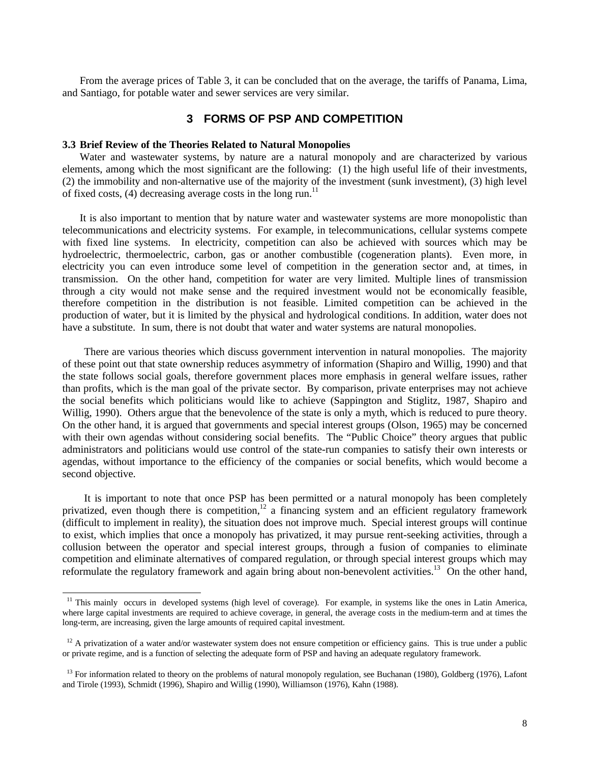From the average prices of Table 3, it can be concluded that on the average, the tariffs of Panama, Lima, and Santiago, for potable water and sewer services are very similar.

## **3 FORMS OF PSP AND COMPETITION**

#### **3.3 Brief Review of the Theories Related to Natural Monopolies**

-

Water and wastewater systems, by nature are a natural monopoly and are characterized by various elements, among which the most significant are the following: (1) the high useful life of their investments, (2) the immobility and non-alternative use of the majority of the investment (sunk investment), (3) high level of fixed costs,  $(4)$  decreasing average costs in the long run.<sup>11</sup>

It is also important to mention that by nature water and wastewater systems are more monopolistic than telecommunications and electricity systems. For example, in telecommunications, cellular systems compete with fixed line systems. In electricity, competition can also be achieved with sources which may be hydroelectric, thermoelectric, carbon, gas or another combustible (cogeneration plants). Even more, in electricity you can even introduce some level of competition in the generation sector and, at times, in transmission. On the other hand, competition for water are very limited. Multiple lines of transmission through a city would not make sense and the required investment would not be economically feasible, therefore competition in the distribution is not feasible. Limited competition can be achieved in the production of water, but it is limited by the physical and hydrological conditions. In addition, water does not have a substitute. In sum, there is not doubt that water and water systems are natural monopolies.

There are various theories which discuss government intervention in natural monopolies. The majority of these point out that state ownership reduces asymmetry of information (Shapiro and Willig, 1990) and that the state follows social goals, therefore government places more emphasis in general welfare issues, rather than profits, which is the man goal of the private sector. By comparison, private enterprises may not achieve the social benefits which politicians would like to achieve (Sappington and Stiglitz, 1987, Shapiro and Willig, 1990). Others argue that the benevolence of the state is only a myth, which is reduced to pure theory. On the other hand, it is argued that governments and special interest groups (Olson, 1965) may be concerned with their own agendas without considering social benefits. The "Public Choice" theory argues that public administrators and politicians would use control of the state-run companies to satisfy their own interests or agendas, without importance to the efficiency of the companies or social benefits, which would become a second objective.

It is important to note that once PSP has been permitted or a natural monopoly has been completely privatized, even though there is competition,<sup>12</sup> a financing system and an efficient regulatory framework (difficult to implement in reality), the situation does not improve much. Special interest groups will continue to exist, which implies that once a monopoly has privatized, it may pursue rent-seeking activities, through a collusion between the operator and special interest groups, through a fusion of companies to eliminate competition and eliminate alternatives of compared regulation, or through special interest groups which may reformulate the regulatory framework and again bring about non-benevolent activities.<sup>13</sup> On the other hand,

 $11$  This mainly occurs in developed systems (high level of coverage). For example, in systems like the ones in Latin America, where large capital investments are required to achieve coverage, in general, the average costs in the medium-term and at times the long-term, are increasing, given the large amounts of required capital investment.

 $12$  A privatization of a water and/or wastewater system does not ensure competition or efficiency gains. This is true under a public or private regime, and is a function of selecting the adequate form of PSP and having an adequate regulatory framework.

<sup>&</sup>lt;sup>13</sup> For information related to theory on the problems of natural monopoly regulation, see Buchanan (1980), Goldberg (1976), Lafont and Tirole (1993), Schmidt (1996), Shapiro and Willig (1990), Williamson (1976), Kahn (1988).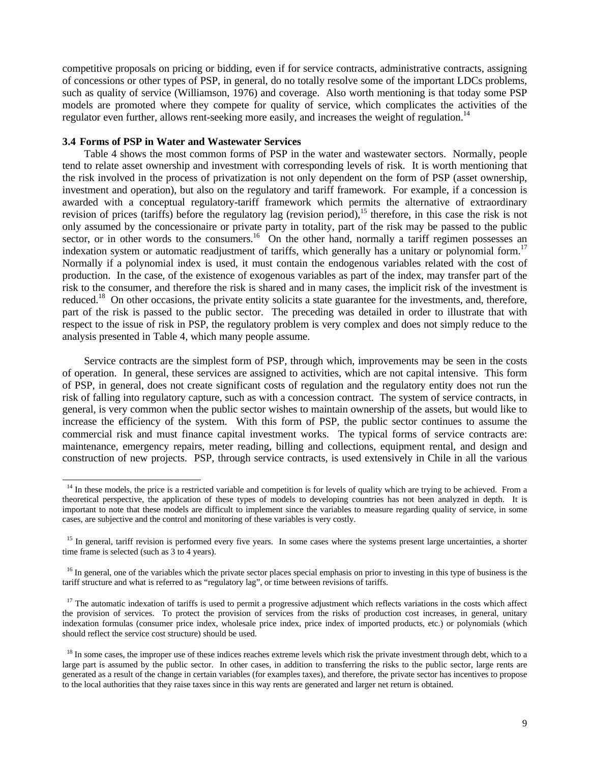competitive proposals on pricing or bidding, even if for service contracts, administrative contracts, assigning of concessions or other types of PSP, in general, do no totally resolve some of the important LDCs problems, such as quality of service (Williamson, 1976) and coverage. Also worth mentioning is that today some PSP models are promoted where they compete for quality of service, which complicates the activities of the regulator even further, allows rent-seeking more easily, and increases the weight of regulation.<sup>14</sup>

#### **3.4 Forms of PSP in Water and Wastewater Services**

-

Table 4 shows the most common forms of PSP in the water and wastewater sectors. Normally, people tend to relate asset ownership and investment with corresponding levels of risk. It is worth mentioning that the risk involved in the process of privatization is not only dependent on the form of PSP (asset ownership, investment and operation), but also on the regulatory and tariff framework. For example, if a concession is awarded with a conceptual regulatory-tariff framework which permits the alternative of extraordinary revision of prices (tariffs) before the regulatory lag (revision period),<sup>15</sup> therefore, in this case the risk is not only assumed by the concessionaire or private party in totality, part of the risk may be passed to the public sector, or in other words to the consumers.<sup>16</sup> On the other hand, normally a tariff regimen possesses an indexation system or automatic readjustment of tariffs, which generally has a unitary or polynomial form.<sup>17</sup> Normally if a polynomial index is used, it must contain the endogenous variables related with the cost of production. In the case, of the existence of exogenous variables as part of the index, may transfer part of the risk to the consumer, and therefore the risk is shared and in many cases, the implicit risk of the investment is reduced.<sup>18</sup> On other occasions, the private entity solicits a state guarantee for the investments, and, therefore, part of the risk is passed to the public sector. The preceding was detailed in order to illustrate that with respect to the issue of risk in PSP, the regulatory problem is very complex and does not simply reduce to the analysis presented in Table 4, which many people assume.

Service contracts are the simplest form of PSP, through which, improvements may be seen in the costs of operation. In general, these services are assigned to activities, which are not capital intensive. This form of PSP, in general, does not create significant costs of regulation and the regulatory entity does not run the risk of falling into regulatory capture, such as with a concession contract. The system of service contracts, in general, is very common when the public sector wishes to maintain ownership of the assets, but would like to increase the efficiency of the system. With this form of PSP, the public sector continues to assume the commercial risk and must finance capital investment works. The typical forms of service contracts are: maintenance, emergency repairs, meter reading, billing and collections, equipment rental, and design and construction of new projects. PSP, through service contracts, is used extensively in Chile in all the various

<sup>&</sup>lt;sup>14</sup> In these models, the price is a restricted variable and competition is for levels of quality which are trying to be achieved. From a theoretical perspective, the application of these types of models to developing countries has not been analyzed in depth. It is important to note that these models are difficult to implement since the variables to measure regarding quality of service, in some cases, are subjective and the control and monitoring of these variables is very costly.

<sup>&</sup>lt;sup>15</sup> In general, tariff revision is performed every five years. In some cases where the systems present large uncertainties, a shorter time frame is selected (such as 3 to 4 years).

<sup>&</sup>lt;sup>16</sup> In general, one of the variables which the private sector places special emphasis on prior to investing in this type of business is the tariff structure and what is referred to as "regulatory lag", or time between revisions of tariffs.

 $17$  The automatic indexation of tariffs is used to permit a progressive adjustment which reflects variations in the costs which affect the provision of services. To protect the provision of services from the risks of production cost increases, in general, unitary indexation formulas (consumer price index, wholesale price index, price index of imported products, etc.) or polynomials (which should reflect the service cost structure) should be used.

<sup>&</sup>lt;sup>18</sup> In some cases, the improper use of these indices reaches extreme levels which risk the private investment through debt, which to a large part is assumed by the public sector. In other cases, in addition to transferring the risks to the public sector, large rents are generated as a result of the change in certain variables (for examples taxes), and therefore, the private sector has incentives to propose to the local authorities that they raise taxes since in this way rents are generated and larger net return is obtained.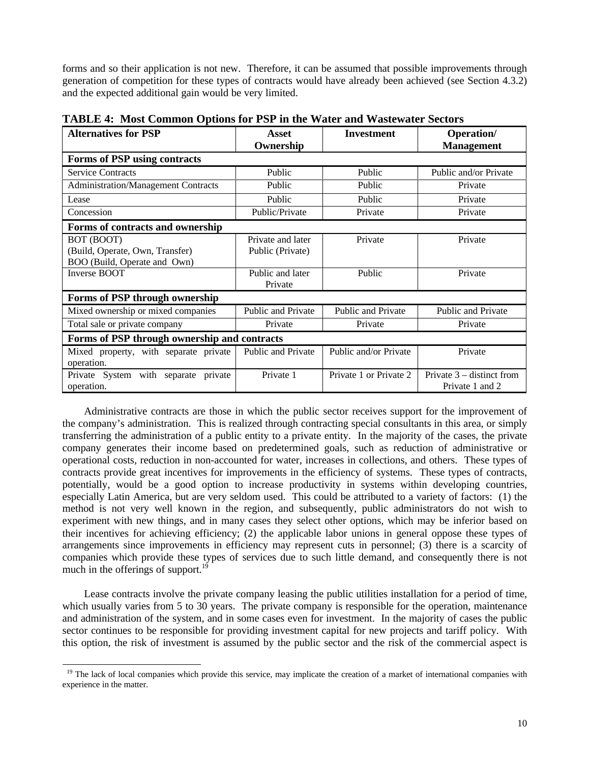forms and so their application is not new. Therefore, it can be assumed that possible improvements through generation of competition for these types of contracts would have already been achieved (see Section 4.3.2) and the expected additional gain would be very limited.

| <b>Alternatives for PSP</b>                                                   | Asset<br>Ownership                    | <b>Investment</b>      | <b>Operation</b> /<br><b>Management</b>        |  |
|-------------------------------------------------------------------------------|---------------------------------------|------------------------|------------------------------------------------|--|
| Forms of PSP using contracts                                                  |                                       |                        |                                                |  |
| <b>Service Contracts</b>                                                      | Public                                | Public                 | Public and/or Private                          |  |
| <b>Administration/Management Contracts</b>                                    | Public                                | Public                 | Private                                        |  |
| Lease                                                                         | Public                                | Public                 | Private                                        |  |
| Concession                                                                    | Public/Private                        | Private                | Private                                        |  |
| Forms of contracts and ownership                                              |                                       |                        |                                                |  |
| BOT (BOOT)<br>(Build, Operate, Own, Transfer)<br>BOO (Build, Operate and Own) | Private and later<br>Public (Private) | Private                | Private                                        |  |
| Inverse BOOT                                                                  | Public and later<br>Private           | Public                 | Private                                        |  |
| Forms of PSP through ownership                                                |                                       |                        |                                                |  |
| Mixed ownership or mixed companies                                            | Public and Private                    | Public and Private     | Public and Private                             |  |
| Total sale or private company                                                 | Private                               | Private                | Private                                        |  |
| Forms of PSP through ownership and contracts                                  |                                       |                        |                                                |  |
| Mixed property, with separate private<br>operation.                           | Public and Private                    | Public and/or Private  | Private                                        |  |
| Private System with separate<br>private<br>operation.                         | Private 1                             | Private 1 or Private 2 | Private $3$ – distinct from<br>Private 1 and 2 |  |

**TABLE 4: Most Common Options for PSP in the Water and Wastewater Sectors**

Administrative contracts are those in which the public sector receives support for the improvement of the company's administration. This is realized through contracting special consultants in this area, or simply transferring the administration of a public entity to a private entity. In the majority of the cases, the private company generates their income based on predetermined goals, such as reduction of administrative or operational costs, reduction in non-accounted for water, increases in collections, and others. These types of contracts provide great incentives for improvements in the efficiency of systems. These types of contracts, potentially, would be a good option to increase productivity in systems within developing countries, especially Latin America, but are very seldom used. This could be attributed to a variety of factors: (1) the method is not very well known in the region, and subsequently, public administrators do not wish to experiment with new things, and in many cases they select other options, which may be inferior based on their incentives for achieving efficiency; (2) the applicable labor unions in general oppose these types of arrangements since improvements in efficiency may represent cuts in personnel; (3) there is a scarcity of companies which provide these types of services due to such little demand, and consequently there is not much in the offerings of support.<sup>19</sup>

Lease contracts involve the private company leasing the public utilities installation for a period of time, which usually varies from 5 to 30 years. The private company is responsible for the operation, maintenance and administration of the system, and in some cases even for investment. In the majority of cases the public sector continues to be responsible for providing investment capital for new projects and tariff policy. With this option, the risk of investment is assumed by the public sector and the risk of the commercial aspect is

<sup>&</sup>lt;sup>19</sup> The lack of local companies which provide this service, may implicate the creation of a market of international companies with experience in the matter.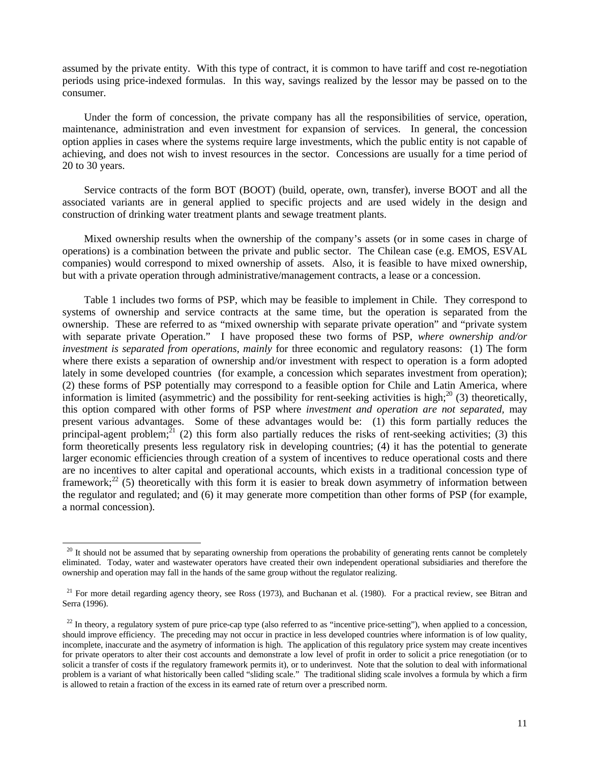assumed by the private entity. With this type of contract, it is common to have tariff and cost re-negotiation periods using price-indexed formulas. In this way, savings realized by the lessor may be passed on to the consumer.

Under the form of concession, the private company has all the responsibilities of service, operation, maintenance, administration and even investment for expansion of services. In general, the concession option applies in cases where the systems require large investments, which the public entity is not capable of achieving, and does not wish to invest resources in the sector. Concessions are usually for a time period of 20 to 30 years.

Service contracts of the form BOT (BOOT) (build, operate, own, transfer), inverse BOOT and all the associated variants are in general applied to specific projects and are used widely in the design and construction of drinking water treatment plants and sewage treatment plants.

Mixed ownership results when the ownership of the company's assets (or in some cases in charge of operations) is a combination between the private and public sector. The Chilean case (e.g. EMOS, ESVAL companies) would correspond to mixed ownership of assets. Also, it is feasible to have mixed ownership, but with a private operation through administrative/management contracts, a lease or a concession.

Table 1 includes two forms of PSP, which may be feasible to implement in Chile. They correspond to systems of ownership and service contracts at the same time, but the operation is separated from the ownership. These are referred to as "mixed ownership with separate private operation" and "private system with separate private Operation." I have proposed these two forms of PSP, *where ownership and/or investment is separated from operations, mainly* for three economic and regulatory reasons: (1) The form where there exists a separation of ownership and/or investment with respect to operation is a form adopted lately in some developed countries (for example, a concession which separates investment from operation); (2) these forms of PSP potentially may correspond to a feasible option for Chile and Latin America, where information is limited (asymmetric) and the possibility for rent-seeking activities is high;<sup>20</sup> (3) theoretically, this option compared with other forms of PSP where *investment and operation are not separated,* may present various advantages. Some of these advantages would be: (1) this form partially reduces the principal-agent problem;  $\frac{1}{21}$  (2) this form also partially reduces the risks of rent-seeking activities; (3) this form theoretically presents less regulatory risk in developing countries; (4) it has the potential to generate larger economic efficiencies through creation of a system of incentives to reduce operational costs and there are no incentives to alter capital and operational accounts, which exists in a traditional concession type of framework;<sup>22</sup> (5) theoretically with this form it is easier to break down asymmetry of information between the regulator and regulated; and (6) it may generate more competition than other forms of PSP (for example, a normal concession).

 $^{20}$  It should not be assumed that by separating ownership from operations the probability of generating rents cannot be completely eliminated. Today, water and wastewater operators have created their own independent operational subsidiaries and therefore the ownership and operation may fall in the hands of the same group without the regulator realizing.

<sup>&</sup>lt;sup>21</sup> For more detail regarding agency theory, see Ross (1973), and Buchanan et al. (1980). For a practical review, see Bitran and Serra (1996).

 $^{22}$  In theory, a regulatory system of pure price-cap type (also referred to as "incentive price-setting"), when applied to a concession, should improve efficiency. The preceding may not occur in practice in less developed countries where information is of low quality, incomplete, inaccurate and the asymetry of information is high. The application of this regulatory price system may create incentives for private operators to alter their cost accounts and demonstrate a low level of profit in order to solicit a price renegotiation (or to solicit a transfer of costs if the regulatory framework permits it), or to underinvest. Note that the solution to deal with informational problem is a variant of what historically been called "sliding scale." The traditional sliding scale involves a formula by which a firm is allowed to retain a fraction of the excess in its earned rate of return over a prescribed norm.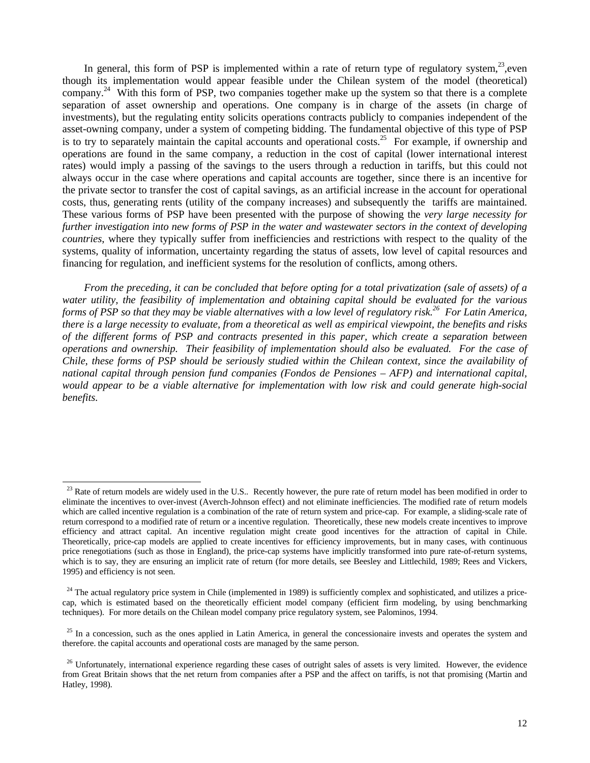In general, this form of PSP is implemented within a rate of return type of regulatory system, $23$ , even though its implementation would appear feasible under the Chilean system of the model (theoretical) company.<sup>24</sup> With this form of PSP, two companies together make up the system so that there is a complete separation of asset ownership and operations. One company is in charge of the assets (in charge of investments), but the regulating entity solicits operations contracts publicly to companies independent of the asset-owning company, under a system of competing bidding. The fundamental objective of this type of PSP is to try to separately maintain the capital accounts and operational costs.<sup>25</sup> For example, if ownership and operations are found in the same company, a reduction in the cost of capital (lower international interest rates) would imply a passing of the savings to the users through a reduction in tariffs, but this could not always occur in the case where operations and capital accounts are together, since there is an incentive for the private sector to transfer the cost of capital savings, as an artificial increase in the account for operational costs, thus, generating rents (utility of the company increases) and subsequently the tariffs are maintained. These various forms of PSP have been presented with the purpose of showing the *very large necessity for further investigation into new forms of PSP in the water and wastewater sectors in the context of developing countries*, where they typically suffer from inefficiencies and restrictions with respect to the quality of the systems, quality of information, uncertainty regarding the status of assets, low level of capital resources and financing for regulation, and inefficient systems for the resolution of conflicts, among others.

*From the preceding, it can be concluded that before opting for a total privatization (sale of assets) of a water utility, the feasibility of implementation and obtaining capital should be evaluated for the various forms of PSP so that they may be viable alternatives with a low level of regulatory risk.<sup>26</sup> For Latin America, there is a large necessity to evaluate, from a theoretical as well as empirical viewpoint, the benefits and risks of the different forms of PSP and contracts presented in this paper, which create a separation between operations and ownership. Their feasibility of implementation should also be evaluated. For the case of Chile, these forms of PSP should be seriously studied within the Chilean context, since the availability of national capital through pension fund companies (Fondos de Pensiones – AFP) and international capital, would appear to be a viable alternative for implementation with low risk and could generate high-social benefits.*

 $^{23}$  Rate of return models are widely used in the U.S.. Recently however, the pure rate of return model has been modified in order to eliminate the incentives to over-invest (Averch-Johnson effect) and not eliminate inefficiencies. The modified rate of return models which are called incentive regulation is a combination of the rate of return system and price-cap. For example, a sliding-scale rate of return correspond to a modified rate of return or a incentive regulation. Theoretically, these new models create incentives to improve efficiency and attract capital. An incentive regulation might create good incentives for the attraction of capital in Chile. Theoretically, price-cap models are applied to create incentives for efficiency improvements, but in many cases, with continuous price renegotiations (such as those in England), the price-cap systems have implicitly transformed into pure rate-of-return systems, which is to say, they are ensuring an implicit rate of return (for more details, see Beesley and Littlechild, 1989; Rees and Vickers, 1995) and efficiency is not seen.

 $24$  The actual regulatory price system in Chile (implemented in 1989) is sufficiently complex and sophisticated, and utilizes a pricecap, which is estimated based on the theoretically efficient model company (efficient firm modeling, by using benchmarking techniques). For more details on the Chilean model company price regulatory system, see Palominos, 1994.

 $25$  In a concession, such as the ones applied in Latin America, in general the concessionaire invests and operates the system and therefore. the capital accounts and operational costs are managed by the same person.

<sup>&</sup>lt;sup>26</sup> Unfortunately, international experience regarding these cases of outright sales of assets is very limited. However, the evidence from Great Britain shows that the net return from companies after a PSP and the affect on tariffs, is not that promising (Martin and Hatley, 1998).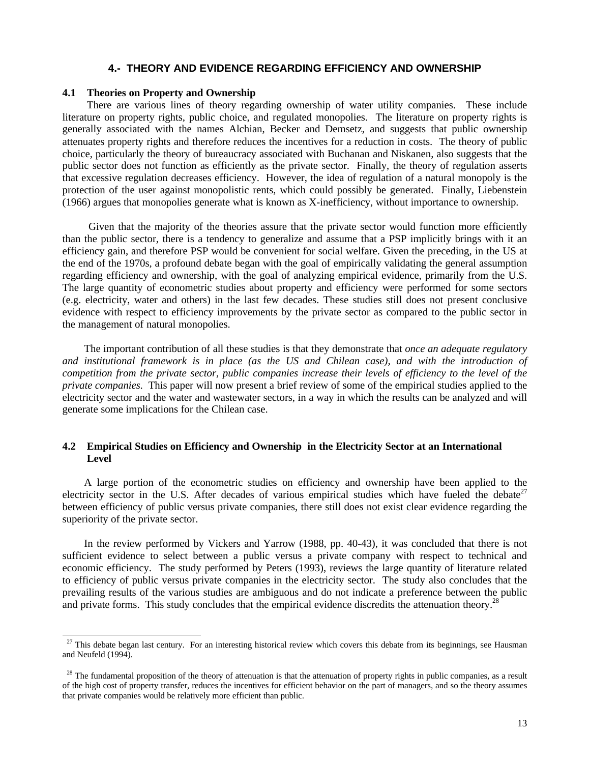### **4.- THEORY AND EVIDENCE REGARDING EFFICIENCY AND OWNERSHIP**

### **4.1 Theories on Property and Ownership**

-

There are various lines of theory regarding ownership of water utility companies. These include literature on property rights, public choice, and regulated monopolies. The literature on property rights is generally associated with the names Alchian, Becker and Demsetz, and suggests that public ownership attenuates property rights and therefore reduces the incentives for a reduction in costs. The theory of public choice, particularly the theory of bureaucracy associated with Buchanan and Niskanen, also suggests that the public sector does not function as efficiently as the private sector. Finally, the theory of regulation asserts that excessive regulation decreases efficiency. However, the idea of regulation of a natural monopoly is the protection of the user against monopolistic rents, which could possibly be generated. Finally, Liebenstein (1966) argues that monopolies generate what is known as X-inefficiency, without importance to ownership.

Given that the majority of the theories assure that the private sector would function more efficiently than the public sector, there is a tendency to generalize and assume that a PSP implicitly brings with it an efficiency gain, and therefore PSP would be convenient for social welfare. Given the preceding, in the US at the end of the 1970s, a profound debate began with the goal of empirically validating the general assumption regarding efficiency and ownership, with the goal of analyzing empirical evidence, primarily from the U.S. The large quantity of econometric studies about property and efficiency were performed for some sectors (e.g. electricity, water and others) in the last few decades. These studies still does not present conclusive evidence with respect to efficiency improvements by the private sector as compared to the public sector in the management of natural monopolies.

The important contribution of all these studies is that they demonstrate that *once an adequate regulatory and institutional framework is in place (as the US and Chilean case), and with the introduction of competition from the private sector, public companies increase their levels of efficiency to the level of the private companies.* This paper will now present a brief review of some of the empirical studies applied to the electricity sector and the water and wastewater sectors, in a way in which the results can be analyzed and will generate some implications for the Chilean case.

### **4.2 Empirical Studies on Efficiency and Ownership in the Electricity Sector at an International Level**

A large portion of the econometric studies on efficiency and ownership have been applied to the electricity sector in the U.S. After decades of various empirical studies which have fueled the debate<sup>27</sup> between efficiency of public versus private companies, there still does not exist clear evidence regarding the superiority of the private sector.

In the review performed by Vickers and Yarrow (1988, pp. 40-43), it was concluded that there is not sufficient evidence to select between a public versus a private company with respect to technical and economic efficiency. The study performed by Peters (1993), reviews the large quantity of literature related to efficiency of public versus private companies in the electricity sector. The study also concludes that the prevailing results of the various studies are ambiguous and do not indicate a preference between the public and private forms. This study concludes that the empirical evidence discredits the attenuation theory.<sup>28</sup>

 $27$  This debate began last century. For an interesting historical review which covers this debate from its beginnings, see Hausman and Neufeld (1994).

 $^{28}$  The fundamental proposition of the theory of attenuation is that the attenuation of property rights in public companies, as a result of the high cost of property transfer, reduces the incentives for efficient behavior on the part of managers, and so the theory assumes that private companies would be relatively more efficient than public.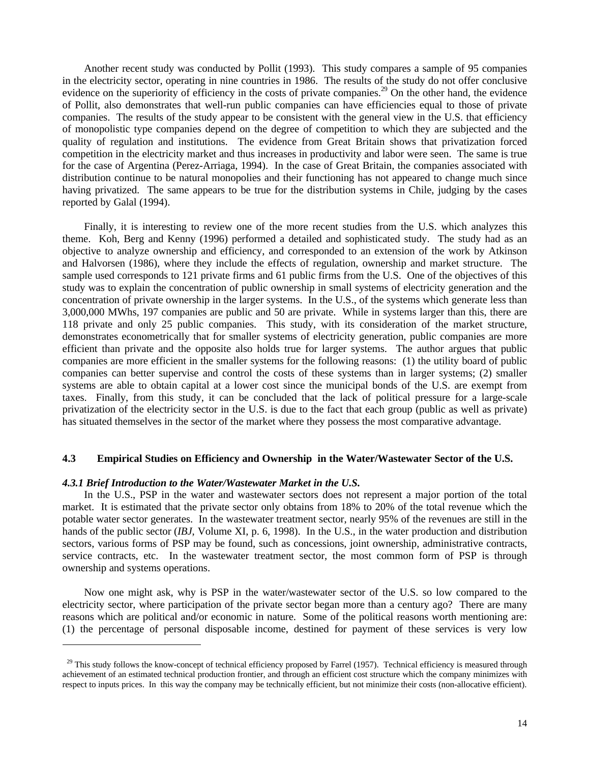Another recent study was conducted by Pollit (1993). This study compares a sample of 95 companies in the electricity sector, operating in nine countries in 1986. The results of the study do not offer conclusive evidence on the superiority of efficiency in the costs of private companies.<sup>29</sup> On the other hand, the evidence of Pollit, also demonstrates that well-run public companies can have efficiencies equal to those of private companies. The results of the study appear to be consistent with the general view in the U.S. that efficiency of monopolistic type companies depend on the degree of competition to which they are subjected and the quality of regulation and institutions. The evidence from Great Britain shows that privatization forced competition in the electricity market and thus increases in productivity and labor were seen. The same is true for the case of Argentina (Perez-Arriaga, 1994). In the case of Great Britain, the companies associated with distribution continue to be natural monopolies and their functioning has not appeared to change much since having privatized. The same appears to be true for the distribution systems in Chile, judging by the cases reported by Galal (1994).

Finally, it is interesting to review one of the more recent studies from the U.S. which analyzes this theme. Koh, Berg and Kenny (1996) performed a detailed and sophisticated study. The study had as an objective to analyze ownership and efficiency, and corresponded to an extension of the work by Atkinson and Halvorsen (1986), where they include the effects of regulation, ownership and market structure. The sample used corresponds to 121 private firms and 61 public firms from the U.S. One of the objectives of this study was to explain the concentration of public ownership in small systems of electricity generation and the concentration of private ownership in the larger systems. In the U.S., of the systems which generate less than 3,000,000 MWhs, 197 companies are public and 50 are private. While in systems larger than this, there are 118 private and only 25 public companies. This study, with its consideration of the market structure, demonstrates econometrically that for smaller systems of electricity generation, public companies are more efficient than private and the opposite also holds true for larger systems. The author argues that public companies are more efficient in the smaller systems for the following reasons: (1) the utility board of public companies can better supervise and control the costs of these systems than in larger systems; (2) smaller systems are able to obtain capital at a lower cost since the municipal bonds of the U.S. are exempt from taxes. Finally, from this study, it can be concluded that the lack of political pressure for a large-scale privatization of the electricity sector in the U.S. is due to the fact that each group (public as well as private) has situated themselves in the sector of the market where they possess the most comparative advantage.

### **4.3 Empirical Studies on Efficiency and Ownership in the Water/Wastewater Sector of the U.S.**

#### *4.3.1 Brief Introduction to the Water/Wastewater Market in the U.S.*

-

In the U.S., PSP in the water and wastewater sectors does not represent a major portion of the total market. It is estimated that the private sector only obtains from 18% to 20% of the total revenue which the potable water sector generates. In the wastewater treatment sector, nearly 95% of the revenues are still in the hands of the public sector *(IBJ*, Volume XI, p. 6, 1998). In the U.S., in the water production and distribution sectors, various forms of PSP may be found, such as concessions, joint ownership, administrative contracts, service contracts, etc. In the wastewater treatment sector, the most common form of PSP is through ownership and systems operations.

Now one might ask, why is PSP in the water/wastewater sector of the U.S. so low compared to the electricity sector, where participation of the private sector began more than a century ago? There are many reasons which are political and/or economic in nature. Some of the political reasons worth mentioning are: (1) the percentage of personal disposable income, destined for payment of these services is very low

<sup>&</sup>lt;sup>29</sup> This study follows the know-concept of technical efficiency proposed by Farrel (1957). Technical efficiency is measured through achievement of an estimated technical production frontier, and through an efficient cost structure which the company minimizes with respect to inputs prices. In this way the company may be technically efficient, but not minimize their costs (non-allocative efficient).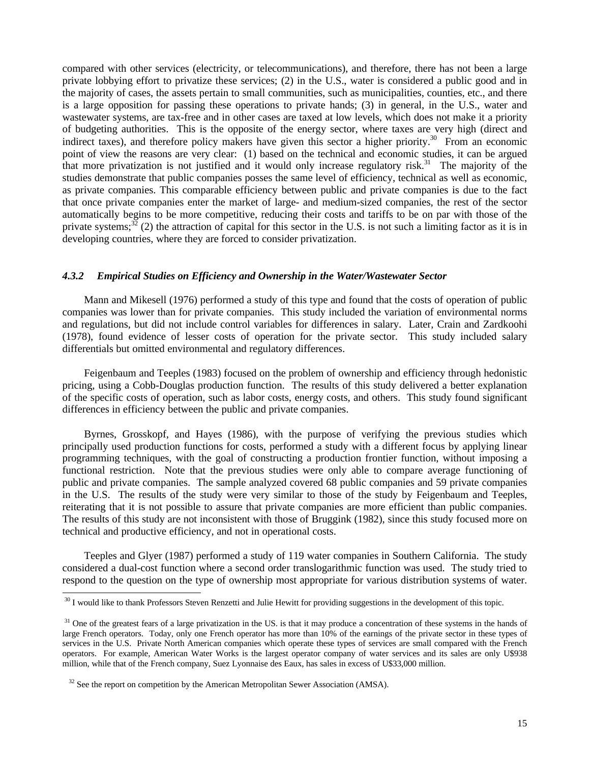compared with other services (electricity, or telecommunications), and therefore, there has not been a large private lobbying effort to privatize these services; (2) in the U.S., water is considered a public good and in the majority of cases, the assets pertain to small communities, such as municipalities, counties, etc., and there is a large opposition for passing these operations to private hands; (3) in general, in the U.S., water and wastewater systems, are tax-free and in other cases are taxed at low levels, which does not make it a priority of budgeting authorities. This is the opposite of the energy sector, where taxes are very high (direct and indirect taxes), and therefore policy makers have given this sector a higher priority.<sup>30</sup> From an economic point of view the reasons are very clear: (1) based on the technical and economic studies, it can be argued that more privatization is not justified and it would only increase regulatory risk.<sup>31</sup> The majority of the studies demonstrate that public companies posses the same level of efficiency, technical as well as economic, as private companies. This comparable efficiency between public and private companies is due to the fact that once private companies enter the market of large- and medium-sized companies, the rest of the sector automatically begins to be more competitive, reducing their costs and tariffs to be on par with those of the private systems;<sup>32</sup> (2) the attraction of capital for this sector in the U.S. is not such a limiting factor as it is in developing countries, where they are forced to consider privatization.

### *4.3.2 Empirical Studies on Efficiency and Ownership in the Water/Wastewater Sector*

Mann and Mikesell (1976) performed a study of this type and found that the costs of operation of public companies was lower than for private companies. This study included the variation of environmental norms and regulations, but did not include control variables for differences in salary. Later, Crain and Zardkoohi (1978), found evidence of lesser costs of operation for the private sector. This study included salary differentials but omitted environmental and regulatory differences.

Feigenbaum and Teeples (1983) focused on the problem of ownership and efficiency through hedonistic pricing, using a Cobb-Douglas production function. The results of this study delivered a better explanation of the specific costs of operation, such as labor costs, energy costs, and others. This study found significant differences in efficiency between the public and private companies.

Byrnes, Grosskopf, and Hayes (1986), with the purpose of verifying the previous studies which principally used production functions for costs, performed a study with a different focus by applying linear programming techniques, with the goal of constructing a production frontier function, without imposing a functional restriction. Note that the previous studies were only able to compare average functioning of public and private companies. The sample analyzed covered 68 public companies and 59 private companies in the U.S. The results of the study were very similar to those of the study by Feigenbaum and Teeples, reiterating that it is not possible to assure that private companies are more efficient than public companies. The results of this study are not inconsistent with those of Bruggink (1982), since this study focused more on technical and productive efficiency, and not in operational costs.

Teeples and Glyer (1987) performed a study of 119 water companies in Southern California. The study considered a dual-cost function where a second order translogarithmic function was used. The study tried to respond to the question on the type of ownership most appropriate for various distribution systems of water.

<sup>&</sup>lt;sup>30</sup> I would like to thank Professors Steven Renzetti and Julie Hewitt for providing suggestions in the development of this topic.

<sup>&</sup>lt;sup>31</sup> One of the greatest fears of a large privatization in the US. is that it may produce a concentration of these systems in the hands of large French operators. Today, only one French operator has more than 10% of the earnings of the private sector in these types of services in the U.S. Private North American companies which operate these types of services are small compared with the French operators. For example, American Water Works is the largest operator company of water services and its sales are only U\$938 million, while that of the French company, Suez Lyonnaise des Eaux, has sales in excess of U\$33,000 million.

 $32$  See the report on competition by the American Metropolitan Sewer Association (AMSA).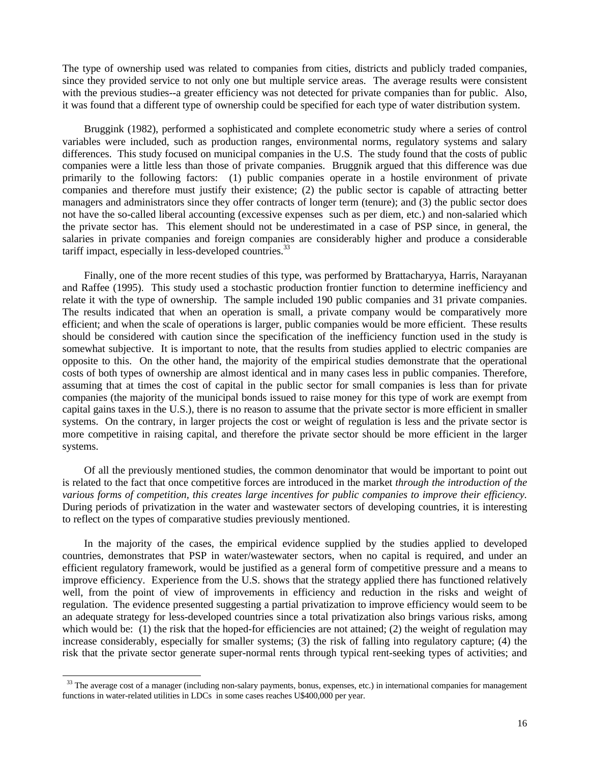The type of ownership used was related to companies from cities, districts and publicly traded companies, since they provided service to not only one but multiple service areas. The average results were consistent with the previous studies--a greater efficiency was not detected for private companies than for public. Also, it was found that a different type of ownership could be specified for each type of water distribution system.

Bruggink (1982), performed a sophisticated and complete econometric study where a series of control variables were included, such as production ranges, environmental norms, regulatory systems and salary differences. This study focused on municipal companies in the U.S. The study found that the costs of public companies were a little less than those of private companies. Bruggnik argued that this difference was due primarily to the following factors: (1) public companies operate in a hostile environment of private companies and therefore must justify their existence; (2) the public sector is capable of attracting better managers and administrators since they offer contracts of longer term (tenure); and (3) the public sector does not have the so-called liberal accounting (excessive expenses such as per diem, etc.) and non-salaried which the private sector has. This element should not be underestimated in a case of PSP since, in general, the salaries in private companies and foreign companies are considerably higher and produce a considerable tariff impact, especially in less-developed countries. $^{33}$ 

Finally, one of the more recent studies of this type, was performed by Brattacharyya, Harris, Narayanan and Raffee (1995). This study used a stochastic production frontier function to determine inefficiency and relate it with the type of ownership. The sample included 190 public companies and 31 private companies. The results indicated that when an operation is small, a private company would be comparatively more efficient; and when the scale of operations is larger, public companies would be more efficient. These results should be considered with caution since the specification of the inefficiency function used in the study is somewhat subjective. It is important to note, that the results from studies applied to electric companies are opposite to this. On the other hand, the majority of the empirical studies demonstrate that the operational costs of both types of ownership are almost identical and in many cases less in public companies. Therefore, assuming that at times the cost of capital in the public sector for small companies is less than for private companies (the majority of the municipal bonds issued to raise money for this type of work are exempt from capital gains taxes in the U.S.), there is no reason to assume that the private sector is more efficient in smaller systems. On the contrary, in larger projects the cost or weight of regulation is less and the private sector is more competitive in raising capital, and therefore the private sector should be more efficient in the larger systems.

Of all the previously mentioned studies, the common denominator that would be important to point out is related to the fact that once competitive forces are introduced in the market *through the introduction of the various forms of competition, this creates large incentives for public companies to improve their efficiency.* During periods of privatization in the water and wastewater sectors of developing countries, it is interesting to reflect on the types of comparative studies previously mentioned.

In the majority of the cases, the empirical evidence supplied by the studies applied to developed countries, demonstrates that PSP in water/wastewater sectors, when no capital is required, and under an efficient regulatory framework, would be justified as a general form of competitive pressure and a means to improve efficiency. Experience from the U.S. shows that the strategy applied there has functioned relatively well, from the point of view of improvements in efficiency and reduction in the risks and weight of regulation. The evidence presented suggesting a partial privatization to improve efficiency would seem to be an adequate strategy for less-developed countries since a total privatization also brings various risks, among which would be: (1) the risk that the hoped-for efficiencies are not attained; (2) the weight of regulation may increase considerably, especially for smaller systems; (3) the risk of falling into regulatory capture; (4) the risk that the private sector generate super-normal rents through typical rent-seeking types of activities; and

<sup>&</sup>lt;sup>33</sup> The average cost of a manager (including non-salary payments, bonus, expenses, etc.) in international companies for management functions in water-related utilities in LDCs in some cases reaches U\$400,000 per year.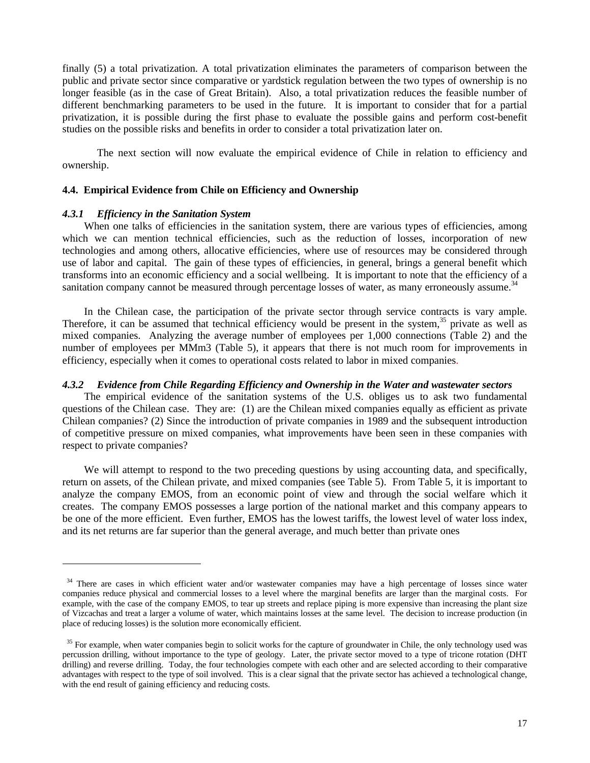finally (5) a total privatization. A total privatization eliminates the parameters of comparison between the public and private sector since comparative or yardstick regulation between the two types of ownership is no longer feasible (as in the case of Great Britain). Also, a total privatization reduces the feasible number of different benchmarking parameters to be used in the future. It is important to consider that for a partial privatization, it is possible during the first phase to evaluate the possible gains and perform cost-benefit studies on the possible risks and benefits in order to consider a total privatization later on.

The next section will now evaluate the empirical evidence of Chile in relation to efficiency and ownership.

### **4.4. Empirical Evidence from Chile on Efficiency and Ownership**

#### *4.3.1 Efficiency in the Sanitation System*

-

When one talks of efficiencies in the sanitation system, there are various types of efficiencies, among which we can mention technical efficiencies, such as the reduction of losses, incorporation of new technologies and among others, allocative efficiencies, where use of resources may be considered through use of labor and capital. The gain of these types of efficiencies, in general, brings a general benefit which transforms into an economic efficiency and a social wellbeing. It is important to note that the efficiency of a sanitation company cannot be measured through percentage losses of water, as many erroneously assume.<sup>34</sup>

In the Chilean case, the participation of the private sector through service contracts is vary ample. Therefore, it can be assumed that technical efficiency would be present in the system,  $35$  private as well as mixed companies. Analyzing the average number of employees per 1,000 connections (Table 2) and the number of employees per MMm3 (Table 5), it appears that there is not much room for improvements in efficiency, especially when it comes to operational costs related to labor in mixed companies.

#### *4.3.2 Evidence from Chile Regarding Efficiency and Ownership in the Water and wastewater sectors*

The empirical evidence of the sanitation systems of the U.S. obliges us to ask two fundamental questions of the Chilean case. They are: (1) are the Chilean mixed companies equally as efficient as private Chilean companies? (2) Since the introduction of private companies in 1989 and the subsequent introduction of competitive pressure on mixed companies, what improvements have been seen in these companies with respect to private companies?

We will attempt to respond to the two preceding questions by using accounting data, and specifically, return on assets, of the Chilean private, and mixed companies (see Table 5). From Table 5, it is important to analyze the company EMOS, from an economic point of view and through the social welfare which it creates. The company EMOS possesses a large portion of the national market and this company appears to be one of the more efficient. Even further, EMOS has the lowest tariffs, the lowest level of water loss index, and its net returns are far superior than the general average, and much better than private ones

<sup>&</sup>lt;sup>34</sup> There are cases in which efficient water and/or wastewater companies may have a high percentage of losses since water companies reduce physical and commercial losses to a level where the marginal benefits are larger than the marginal costs. For example, with the case of the company EMOS, to tear up streets and replace piping is more expensive than increasing the plant size of Vizcachas and treat a larger a volume of water, which maintains losses at the same level. The decision to increase production (in place of reducing losses) is the solution more economically efficient.

<sup>&</sup>lt;sup>35</sup> For example, when water companies begin to solicit works for the capture of groundwater in Chile, the only technology used was percussion drilling, without importance to the type of geology. Later, the private sector moved to a type of tricone rotation (DHT drilling) and reverse drilling. Today, the four technologies compete with each other and are selected according to their comparative advantages with respect to the type of soil involved. This is a clear signal that the private sector has achieved a technological change, with the end result of gaining efficiency and reducing costs.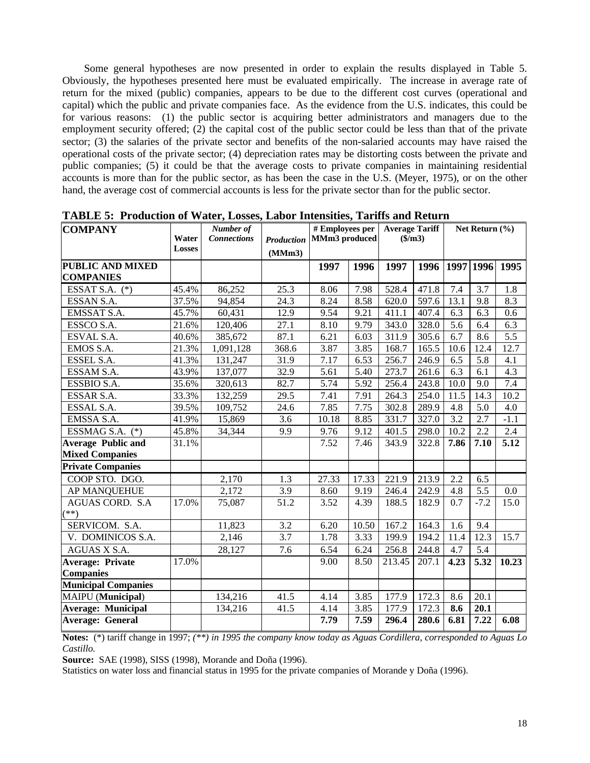Some general hypotheses are now presented in order to explain the results displayed in Table 5. Obviously, the hypotheses presented here must be evaluated empirically. The increase in average rate of return for the mixed (public) companies, appears to be due to the different cost curves (operational and capital) which the public and private companies face. As the evidence from the U.S. indicates, this could be for various reasons: (1) the public sector is acquiring better administrators and managers due to the employment security offered; (2) the capital cost of the public sector could be less than that of the private sector; (3) the salaries of the private sector and benefits of the non-salaried accounts may have raised the operational costs of the private sector; (4) depreciation rates may be distorting costs between the private and public companies; (5) it could be that the average costs to private companies in maintaining residential accounts is more than for the public sector, as has been the case in the U.S. (Meyer, 1975), or on the other hand, the average cost of commercial accounts is less for the private sector than for the public sector.

| <b>COMPANY</b>                              | Water<br><b>Losses</b> | Number of<br><b>Connections</b> | <b>Production</b><br>(MMm3) | # Employees per<br>MMm3 produced |       | <b>Average Tariff</b><br>$(\$/m3)$ |       | Net Return $(\% )$ |        |                |
|---------------------------------------------|------------------------|---------------------------------|-----------------------------|----------------------------------|-------|------------------------------------|-------|--------------------|--------|----------------|
| <b>PUBLIC AND MIXED</b><br><b>COMPANIES</b> |                        |                                 |                             | 1997                             | 1996  | 1997                               | 1996  |                    |        | 1997 1996 1995 |
| ESSAT S.A. $(*)$                            | 45.4%                  | 86,252                          | 25.3                        | 8.06                             | 7.98  | 528.4                              | 471.8 | 7.4                | 3.7    | 1.8            |
| ESSAN S.A.                                  | 37.5%                  | 94,854                          | 24.3                        | 8.24                             | 8.58  | 620.0                              | 597.6 | 13.1               | 9.8    | 8.3            |
| EMSSAT S.A.                                 | 45.7%                  | 60,431                          | 12.9                        | 9.54                             | 9.21  | 411.1                              | 407.4 | 6.3                | 6.3    | 0.6            |
| ESSCO S.A.                                  | 21.6%                  | 120,406                         | 27.1                        | 8.10                             | 9.79  | 343.0                              | 328.0 | 5.6                | 6.4    | 6.3            |
| ESVAL S.A.                                  | 40.6%                  | 385,672                         | 87.1                        | 6.21                             | 6.03  | 311.9                              | 305.6 | 6.7                | 8.6    | 5.5            |
| EMOS S.A.                                   | 21.3%                  | 1,091,128                       | 368.6                       | 3.87                             | 3.85  | 168.7                              | 165.5 | 10.6               | 12.4   | 12.7           |
| ESSEL S.A.                                  | 41.3%                  | 131,247                         | 31.9                        | 7.17                             | 6.53  | 256.7                              | 246.9 | 6.5                | 5.8    | 4.1            |
| ESSAM S.A.                                  | 43.9%                  | 137,077                         | 32.9                        | 5.61                             | 5.40  | 273.7                              | 261.6 | 6.3                | 6.1    | 4.3            |
| ESSBIO S.A.                                 | 35.6%                  | 320,613                         | 82.7                        | 5.74                             | 5.92  | 256.4                              | 243.8 | 10.0               | 9.0    | 7.4            |
| ESSAR S.A.                                  | 33.3%                  | 132,259                         | 29.5                        | 7.41                             | 7.91  | 264.3                              | 254.0 | 11.5               | 14.3   | 10.2           |
| ESSAL S.A.                                  | 39.5%                  | 109,752                         | 24.6                        | 7.85                             | 7.75  | 302.8                              | 289.9 | 4.8                | 5.0    | 4.0            |
| EMSSA S.A.                                  | 41.9%                  | 15,869                          | 3.6                         | 10.18                            | 8.85  | 331.7                              | 327.0 | 3.2                | 2.7    | $-1.1$         |
| ESSMAG S.A. $(*)$                           | 45.8%                  | 34,344                          | 9.9                         | 9.76                             | 9.12  | 401.5                              | 298.0 | 10.2               | 2.2    | 2.4            |
| <b>Average Public and</b>                   | 31.1%                  |                                 |                             | 7.52                             | 7.46  | 343.9                              | 322.8 | 7.86               | 7.10   | 5.12           |
| <b>Mixed Companies</b>                      |                        |                                 |                             |                                  |       |                                    |       |                    |        |                |
| <b>Private Companies</b>                    |                        |                                 |                             |                                  |       |                                    |       |                    |        |                |
| COOP STO. DGO.                              |                        | 2,170                           | 1.3                         | 27.33                            | 17.33 | 221.9                              | 213.9 | 2.2                | 6.5    |                |
| AP MANQUEHUE                                |                        | 2,172                           | 3.9                         | 8.60                             | 9.19  | 246.4                              | 242.9 | 4.8                | 5.5    | 0.0            |
| AGUAS CORD. S.A.<br>$(**)$                  | 17.0%                  | 75,087                          | 51.2                        | 3.52                             | 4.39  | 188.5                              | 182.9 | 0.7                | $-7.2$ | 15.0           |
| SERVICOM. S.A.                              |                        | 11,823                          | 3.2                         | 6.20                             | 10.50 | 167.2                              | 164.3 | 1.6                | 9.4    |                |
| V. DOMINICOS S.A.                           |                        | 2,146                           | 3.7                         | 1.78                             | 3.33  | 199.9                              | 194.2 | 11.4               | 12.3   | 15.7           |
| AGUAS X S.A.                                |                        | 28,127                          | 7.6                         | 6.54                             | 6.24  | 256.8                              | 244.8 | 4.7                | 5.4    |                |
| <b>Average: Private</b>                     | 17.0%                  |                                 |                             | 9.00                             | 8.50  | 213.45                             | 207.1 | 4.23               | 5.32   | 10.23          |
| <b>Companies</b>                            |                        |                                 |                             |                                  |       |                                    |       |                    |        |                |
| <b>Municipal Companies</b>                  |                        |                                 |                             |                                  |       |                                    |       |                    |        |                |
| MAIPU (Municipal)                           |                        | 134,216                         | 41.5                        | 4.14                             | 3.85  | 177.9                              | 172.3 | 8.6                | 20.1   |                |
| <b>Average: Municipal</b>                   |                        | 134,216                         | 41.5                        | 4.14                             | 3.85  | 177.9                              | 172.3 | 8.6                | 20.1   |                |
| <b>Average: General</b>                     |                        |                                 |                             | 7.79                             | 7.59  | 296.4                              | 280.6 | 6.81               | 7.22   | 6.08           |

**TABLE 5: Production of Water, Losses, Labor Intensities, Tariffs and Return**

**Notes:** (\*) tariff change in 1997; *(\*\*) in 1995 the company know today as Aguas Cordillera, corresponded to Aguas Lo Castillo.*

**Source:** SAE (1998), SISS (1998), Morande and Doña (1996).

Statistics on water loss and financial status in 1995 for the private companies of Morande y Doña (1996).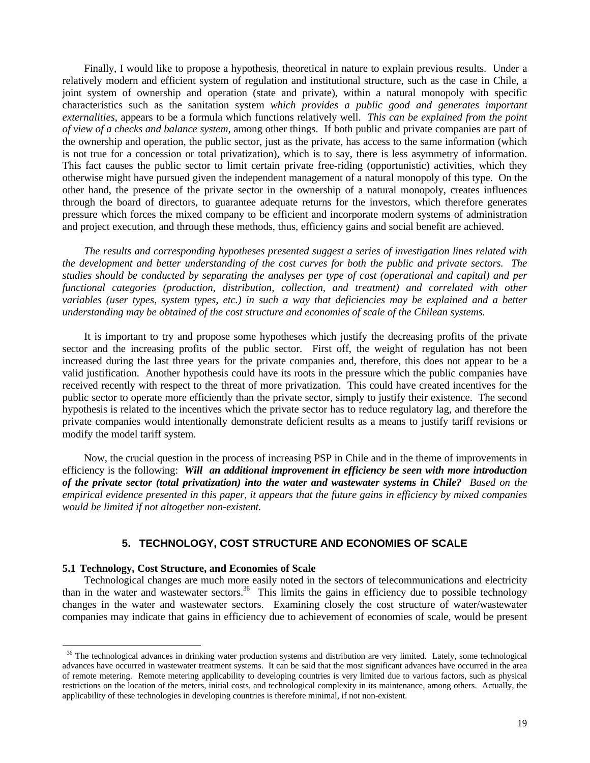Finally, I would like to propose a hypothesis, theoretical in nature to explain previous results. Under a relatively modern and efficient system of regulation and institutional structure, such as the case in Chile, a joint system of ownership and operation (state and private), within a natural monopoly with specific characteristics such as the sanitation system *which provides a public good and generates important externalities*, appears to be a formula which functions relatively well. *This can be explained from the point of view of a checks and balance system*, among other things. If both public and private companies are part of the ownership and operation, the public sector, just as the private, has access to the same information (which is not true for a concession or total privatization), which is to say, there is less asymmetry of information. This fact causes the public sector to limit certain private free-riding (opportunistic) activities, which they otherwise might have pursued given the independent management of a natural monopoly of this type. On the other hand, the presence of the private sector in the ownership of a natural monopoly, creates influences through the board of directors, to guarantee adequate returns for the investors, which therefore generates pressure which forces the mixed company to be efficient and incorporate modern systems of administration and project execution, and through these methods, thus, efficiency gains and social benefit are achieved.

*The results and corresponding hypotheses presented suggest a series of investigation lines related with the development and better understanding of the cost curves for both the public and private sectors. The studies should be conducted by separating the analyses per type of cost (operational and capital) and per functional categories (production, distribution, collection, and treatment) and correlated with other variables (user types, system types, etc.) in such a way that deficiencies may be explained and a better understanding may be obtained of the cost structure and economies of scale of the Chilean systems.*

It is important to try and propose some hypotheses which justify the decreasing profits of the private sector and the increasing profits of the public sector. First off, the weight of regulation has not been increased during the last three years for the private companies and, therefore, this does not appear to be a valid justification. Another hypothesis could have its roots in the pressure which the public companies have received recently with respect to the threat of more privatization. This could have created incentives for the public sector to operate more efficiently than the private sector, simply to justify their existence. The second hypothesis is related to the incentives which the private sector has to reduce regulatory lag, and therefore the private companies would intentionally demonstrate deficient results as a means to justify tariff revisions or modify the model tariff system.

Now, the crucial question in the process of increasing PSP in Chile and in the theme of improvements in efficiency is the following: *Will an additional improvement in efficiency be seen with more introduction of the private sector (total privatization) into the water and wastewater systems in Chile? Based on the empirical evidence presented in this paper, it appears that the future gains in efficiency by mixed companies would be limited if not altogether non-existent.*

### **5. TECHNOLOGY, COST STRUCTURE AND ECONOMIES OF SCALE**

#### **5.1 Technology, Cost Structure, and Economies of Scale**

l

Technological changes are much more easily noted in the sectors of telecommunications and electricity than in the water and wastewater sectors.<sup>36</sup> This limits the gains in efficiency due to possible technology changes in the water and wastewater sectors. Examining closely the cost structure of water/wastewater companies may indicate that gains in efficiency due to achievement of economies of scale, would be present

<sup>&</sup>lt;sup>36</sup> The technological advances in drinking water production systems and distribution are very limited. Lately, some technological advances have occurred in wastewater treatment systems. It can be said that the most significant advances have occurred in the area of remote metering. Remote metering applicability to developing countries is very limited due to various factors, such as physical restrictions on the location of the meters, initial costs, and technological complexity in its maintenance, among others. Actually, the applicability of these technologies in developing countries is therefore minimal, if not non-existent.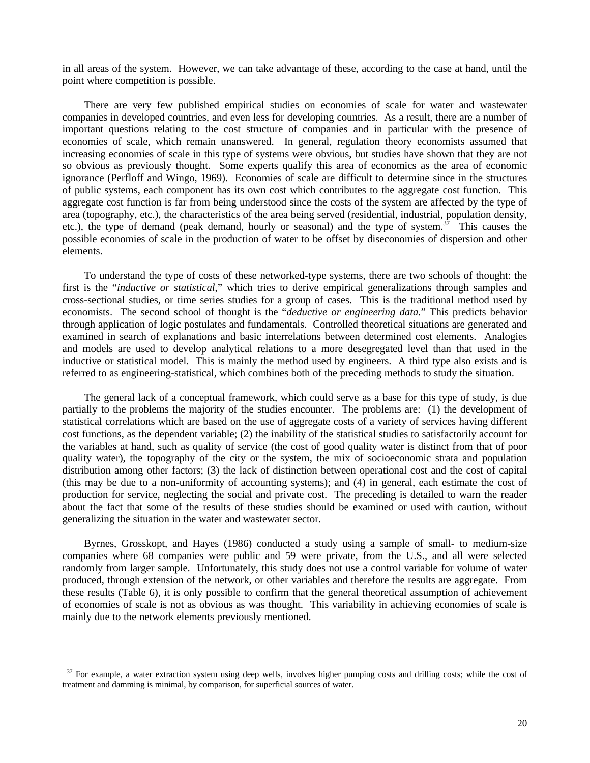in all areas of the system. However, we can take advantage of these, according to the case at hand, until the point where competition is possible.

There are very few published empirical studies on economies of scale for water and wastewater companies in developed countries, and even less for developing countries. As a result, there are a number of important questions relating to the cost structure of companies and in particular with the presence of economies of scale, which remain unanswered. In general, regulation theory economists assumed that increasing economies of scale in this type of systems were obvious, but studies have shown that they are not so obvious as previously thought. Some experts qualify this area of economics as the area of economic ignorance (Perfloff and Wingo, 1969). Economies of scale are difficult to determine since in the structures of public systems, each component has its own cost which contributes to the aggregate cost function. This aggregate cost function is far from being understood since the costs of the system are affected by the type of area (topography, etc.), the characteristics of the area being served (residential, industrial, population density, etc.), the type of demand (peak demand, hourly or seasonal) and the type of system. $37$  This causes the possible economies of scale in the production of water to be offset by diseconomies of dispersion and other elements.

To understand the type of costs of these networked-type systems, there are two schools of thought: the first is the "*inductive or statistical*," which tries to derive empirical generalizations through samples and cross-sectional studies, or time series studies for a group of cases. This is the traditional method used by economists. The second school of thought is the "*deductive or engineering data.*" This predicts behavior through application of logic postulates and fundamentals. Controlled theoretical situations are generated and examined in search of explanations and basic interrelations between determined cost elements. Analogies and models are used to develop analytical relations to a more desegregated level than that used in the inductive or statistical model. This is mainly the method used by engineers. A third type also exists and is referred to as engineering-statistical, which combines both of the preceding methods to study the situation.

The general lack of a conceptual framework, which could serve as a base for this type of study, is due partially to the problems the majority of the studies encounter. The problems are: (1) the development of statistical correlations which are based on the use of aggregate costs of a variety of services having different cost functions, as the dependent variable; (2) the inability of the statistical studies to satisfactorily account for the variables at hand, such as quality of service (the cost of good quality water is distinct from that of poor quality water), the topography of the city or the system, the mix of socioeconomic strata and population distribution among other factors; (3) the lack of distinction between operational cost and the cost of capital (this may be due to a non-uniformity of accounting systems); and (4) in general, each estimate the cost of production for service, neglecting the social and private cost. The preceding is detailed to warn the reader about the fact that some of the results of these studies should be examined or used with caution, without generalizing the situation in the water and wastewater sector.

Byrnes, Grosskopt, and Hayes (1986) conducted a study using a sample of small- to medium-size companies where 68 companies were public and 59 were private, from the U.S., and all were selected randomly from larger sample. Unfortunately, this study does not use a control variable for volume of water produced, through extension of the network, or other variables and therefore the results are aggregate. From these results (Table 6), it is only possible to confirm that the general theoretical assumption of achievement of economies of scale is not as obvious as was thought. This variability in achieving economies of scale is mainly due to the network elements previously mentioned.

<sup>&</sup>lt;sup>37</sup> For example, a water extraction system using deep wells, involves higher pumping costs and drilling costs; while the cost of treatment and damming is minimal, by comparison, for superficial sources of water.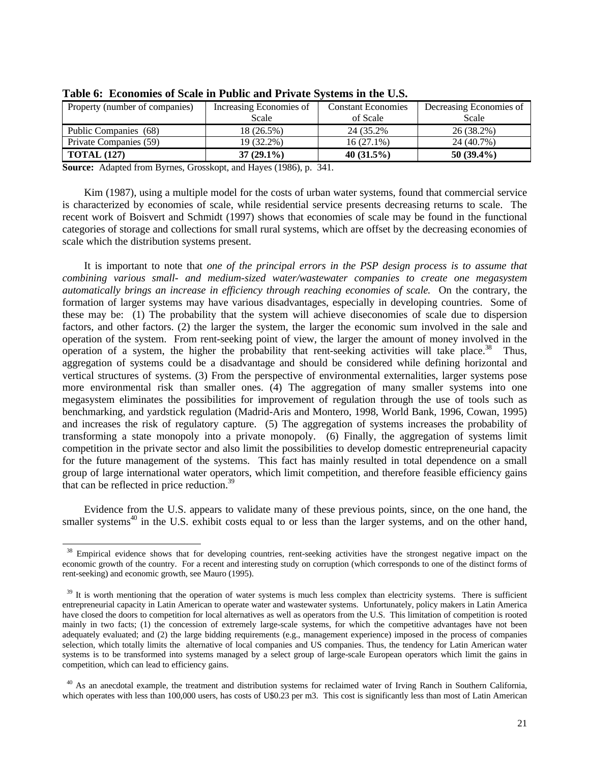| Property (number of companies) | Increasing Economies of | <b>Constant Economies</b> | Decreasing Economies of |  |
|--------------------------------|-------------------------|---------------------------|-------------------------|--|
|                                | Scale                   | of Scale                  | Scale                   |  |
| Public Companies (68)          | 18 (26.5%)              | 24 (35.2%)                | 26 (38.2%)              |  |
| Private Companies (59)         | 19 (32.2%)              | $16(27.1\%)$              | 24 (40.7%)              |  |
| <b>TOTAL (127)</b>             | $37(29.1\%)$            | 40 $(31.5\%)$             | 50 $(39.4\%)$           |  |

**Table 6: Economies of Scale in Public and Private Systems in the U.S.**

**Source:** Adapted from Byrnes, Grosskopt, and Hayes (1986), p. 341.

-

Kim (1987), using a multiple model for the costs of urban water systems, found that commercial service is characterized by economies of scale, while residential service presents decreasing returns to scale. The recent work of Boisvert and Schmidt (1997) shows that economies of scale may be found in the functional categories of storage and collections for small rural systems, which are offset by the decreasing economies of scale which the distribution systems present.

It is important to note that *one of the principal errors in the PSP design process is to assume that combining various small- and medium-sized water/wastewater companies to create one megasystem automatically brings an increase in efficiency through reaching economies of scale.* On the contrary, the formation of larger systems may have various disadvantages, especially in developing countries. Some of these may be: (1) The probability that the system will achieve diseconomies of scale due to dispersion factors, and other factors. (2) the larger the system, the larger the economic sum involved in the sale and operation of the system. From rent-seeking point of view, the larger the amount of money involved in the operation of a system, the higher the probability that rent-seeking activities will take place.<sup>38</sup> Thus, aggregation of systems could be a disadvantage and should be considered while defining horizontal and vertical structures of systems. (3) From the perspective of environmental externalities, larger systems pose more environmental risk than smaller ones. (4) The aggregation of many smaller systems into one megasystem eliminates the possibilities for improvement of regulation through the use of tools such as benchmarking, and yardstick regulation (Madrid-Aris and Montero, 1998, World Bank, 1996, Cowan, 1995) and increases the risk of regulatory capture. (5) The aggregation of systems increases the probability of transforming a state monopoly into a private monopoly. (6) Finally, the aggregation of systems limit competition in the private sector and also limit the possibilities to develop domestic entrepreneurial capacity for the future management of the systems. This fact has mainly resulted in total dependence on a small group of large international water operators, which limit competition, and therefore feasible efficiency gains that can be reflected in price reduction.<sup>39</sup>

Evidence from the U.S. appears to validate many of these previous points, since, on the one hand, the smaller systems<sup>40</sup> in the U.S. exhibit costs equal to or less than the larger systems, and on the other hand,

<sup>&</sup>lt;sup>38</sup> Empirical evidence shows that for developing countries, rent-seeking activities have the strongest negative impact on the economic growth of the country. For a recent and interesting study on corruption (which corresponds to one of the distinct forms of rent-seeking) and economic growth, see Mauro (1995).

 $39$  It is worth mentioning that the operation of water systems is much less complex than electricity systems. There is sufficient entrepreneurial capacity in Latin American to operate water and wastewater systems. Unfortunately, policy makers in Latin America have closed the doors to competition for local alternatives as well as operators from the U.S. This limitation of competition is rooted mainly in two facts; (1) the concession of extremely large-scale systems, for which the competitive advantages have not been adequately evaluated; and (2) the large bidding requirements (e.g., management experience) imposed in the process of companies selection, which totally limits the alternative of local companies and US companies. Thus, the tendency for Latin American water systems is to be transformed into systems managed by a select group of large-scale European operators which limit the gains in competition, which can lead to efficiency gains.

 $40$  As an anecdotal example, the treatment and distribution systems for reclaimed water of Irving Ranch in Southern California, which operates with less than 100,000 users, has costs of U\$0.23 per m3. This cost is significantly less than most of Latin American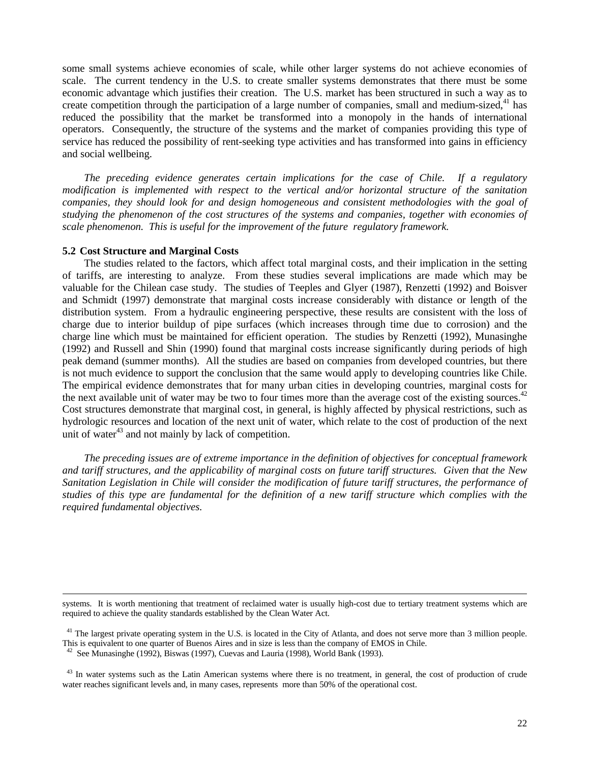some small systems achieve economies of scale, while other larger systems do not achieve economies of scale. The current tendency in the U.S. to create smaller systems demonstrates that there must be some economic advantage which justifies their creation. The U.S. market has been structured in such a way as to create competition through the participation of a large number of companies, small and medium-sized,<sup>41</sup> has reduced the possibility that the market be transformed into a monopoly in the hands of international operators. Consequently, the structure of the systems and the market of companies providing this type of service has reduced the possibility of rent-seeking type activities and has transformed into gains in efficiency and social wellbeing.

*The preceding evidence generates certain implications for the case of Chile. If a regulatory modification is implemented with respect to the vertical and/or horizontal structure of the sanitation companies, they should look for and design homogeneous and consistent methodologies with the goal of studying the phenomenon of the cost structures of the systems and companies, together with economies of scale phenomenon. This is useful for the improvement of the future regulatory framework.*

#### **5.2 Cost Structure and Marginal Costs**

-

The studies related to the factors, which affect total marginal costs, and their implication in the setting of tariffs, are interesting to analyze. From these studies several implications are made which may be valuable for the Chilean case study. The studies of Teeples and Glyer (1987), Renzetti (1992) and Boisver and Schmidt (1997) demonstrate that marginal costs increase considerably with distance or length of the distribution system. From a hydraulic engineering perspective, these results are consistent with the loss of charge due to interior buildup of pipe surfaces (which increases through time due to corrosion) and the charge line which must be maintained for efficient operation. The studies by Renzetti (1992), Munasinghe (1992) and Russell and Shin (1990) found that marginal costs increase significantly during periods of high peak demand (summer months). All the studies are based on companies from developed countries, but there is not much evidence to support the conclusion that the same would apply to developing countries like Chile. The empirical evidence demonstrates that for many urban cities in developing countries, marginal costs for the next available unit of water may be two to four times more than the average cost of the existing sources. $42$ Cost structures demonstrate that marginal cost, in general, is highly affected by physical restrictions, such as hydrologic resources and location of the next unit of water, which relate to the cost of production of the next unit of water $43$  and not mainly by lack of competition.

*The preceding issues are of extreme importance in the definition of objectives for conceptual framework and tariff structures, and the applicability of marginal costs on future tariff structures. Given that the New Sanitation Legislation in Chile will consider the modification of future tariff structures, the performance of studies of this type are fundamental for the definition of a new tariff structure which complies with the required fundamental objectives.*

systems. It is worth mentioning that treatment of reclaimed water is usually high-cost due to tertiary treatment systems which are required to achieve the quality standards established by the Clean Water Act.

 $41$  The largest private operating system in the U.S. is located in the City of Atlanta, and does not serve more than 3 million people. This is equivalent to one quarter of Buenos Aires and in size is less than the company of EMOS in Chile.

<sup>&</sup>lt;sup>42</sup> See Munasinghe (1992), Biswas (1997), Cuevas and Lauria (1998), World Bank (1993).

<sup>&</sup>lt;sup>43</sup> In water systems such as the Latin American systems where there is no treatment, in general, the cost of production of crude water reaches significant levels and, in many cases, represents more than 50% of the operational cost.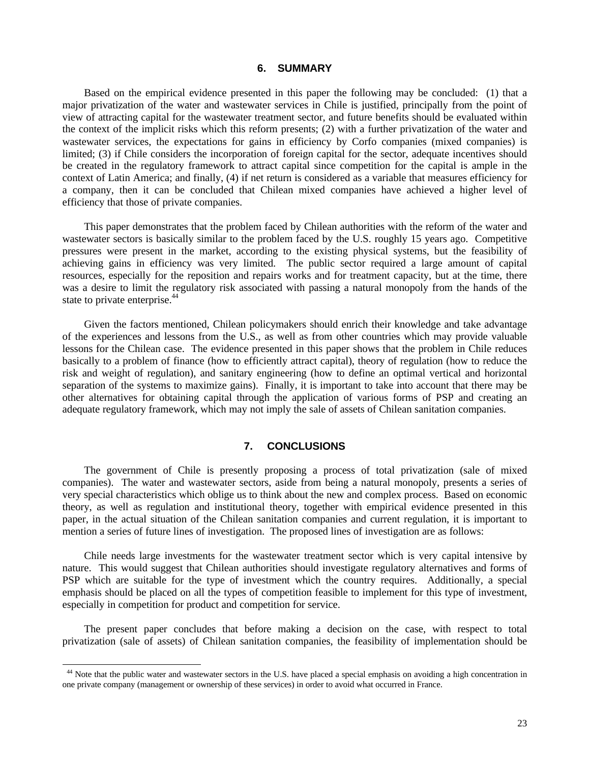### **6. SUMMARY**

Based on the empirical evidence presented in this paper the following may be concluded: (1) that a major privatization of the water and wastewater services in Chile is justified, principally from the point of view of attracting capital for the wastewater treatment sector, and future benefits should be evaluated within the context of the implicit risks which this reform presents; (2) with a further privatization of the water and wastewater services, the expectations for gains in efficiency by Corfo companies (mixed companies) is limited; (3) if Chile considers the incorporation of foreign capital for the sector, adequate incentives should be created in the regulatory framework to attract capital since competition for the capital is ample in the context of Latin America; and finally, (4) if net return is considered as a variable that measures efficiency for a company, then it can be concluded that Chilean mixed companies have achieved a higher level of efficiency that those of private companies.

This paper demonstrates that the problem faced by Chilean authorities with the reform of the water and wastewater sectors is basically similar to the problem faced by the U.S. roughly 15 years ago. Competitive pressures were present in the market, according to the existing physical systems, but the feasibility of achieving gains in efficiency was very limited. The public sector required a large amount of capital resources, especially for the reposition and repairs works and for treatment capacity, but at the time, there was a desire to limit the regulatory risk associated with passing a natural monopoly from the hands of the state to private enterprise.<sup>44</sup>

Given the factors mentioned, Chilean policymakers should enrich their knowledge and take advantage of the experiences and lessons from the U.S., as well as from other countries which may provide valuable lessons for the Chilean case. The evidence presented in this paper shows that the problem in Chile reduces basically to a problem of finance (how to efficiently attract capital), theory of regulation (how to reduce the risk and weight of regulation), and sanitary engineering (how to define an optimal vertical and horizontal separation of the systems to maximize gains). Finally, it is important to take into account that there may be other alternatives for obtaining capital through the application of various forms of PSP and creating an adequate regulatory framework, which may not imply the sale of assets of Chilean sanitation companies.

### **7. CONCLUSIONS**

The government of Chile is presently proposing a process of total privatization (sale of mixed companies). The water and wastewater sectors, aside from being a natural monopoly, presents a series of very special characteristics which oblige us to think about the new and complex process. Based on economic theory, as well as regulation and institutional theory, together with empirical evidence presented in this paper, in the actual situation of the Chilean sanitation companies and current regulation, it is important to mention a series of future lines of investigation. The proposed lines of investigation are as follows:

Chile needs large investments for the wastewater treatment sector which is very capital intensive by nature. This would suggest that Chilean authorities should investigate regulatory alternatives and forms of PSP which are suitable for the type of investment which the country requires. Additionally, a special emphasis should be placed on all the types of competition feasible to implement for this type of investment, especially in competition for product and competition for service.

The present paper concludes that before making a decision on the case, with respect to total privatization (sale of assets) of Chilean sanitation companies, the feasibility of implementation should be

<sup>&</sup>lt;sup>44</sup> Note that the public water and wastewater sectors in the U.S. have placed a special emphasis on avoiding a high concentration in one private company (management or ownership of these services) in order to avoid what occurred in France.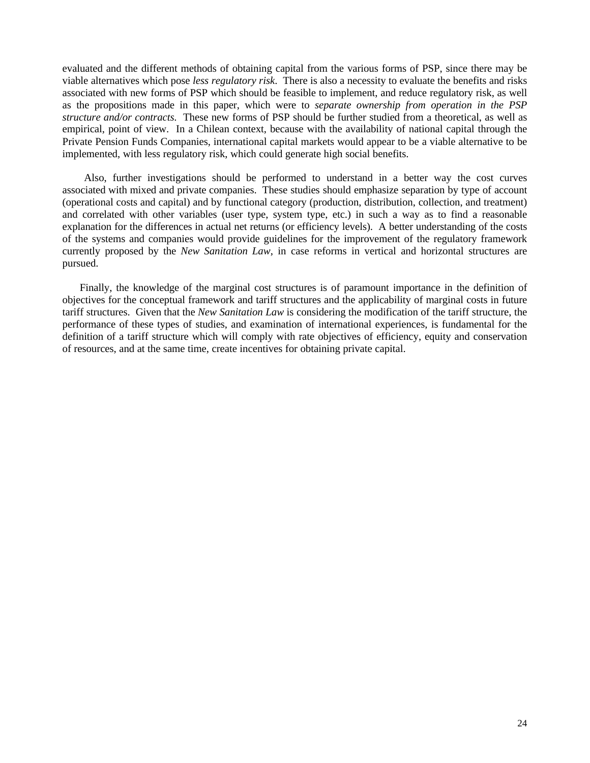evaluated and the different methods of obtaining capital from the various forms of PSP, since there may be viable alternatives which pose *less regulatory risk*. There is also a necessity to evaluate the benefits and risks associated with new forms of PSP which should be feasible to implement, and reduce regulatory risk, as well as the propositions made in this paper, which were to *separate ownership from operation in the PSP structure and/or contracts.* These new forms of PSP should be further studied from a theoretical, as well as empirical, point of view. In a Chilean context, because with the availability of national capital through the Private Pension Funds Companies, international capital markets would appear to be a viable alternative to be implemented, with less regulatory risk, which could generate high social benefits.

Also, further investigations should be performed to understand in a better way the cost curves associated with mixed and private companies. These studies should emphasize separation by type of account (operational costs and capital) and by functional category (production, distribution, collection, and treatment) and correlated with other variables (user type, system type, etc.) in such a way as to find a reasonable explanation for the differences in actual net returns (or efficiency levels). A better understanding of the costs of the systems and companies would provide guidelines for the improvement of the regulatory framework currently proposed by the *New Sanitation Law*, in case reforms in vertical and horizontal structures are pursued.

Finally, the knowledge of the marginal cost structures is of paramount importance in the definition of objectives for the conceptual framework and tariff structures and the applicability of marginal costs in future tariff structures. Given that the *New Sanitation Law* is considering the modification of the tariff structure, the performance of these types of studies, and examination of international experiences, is fundamental for the definition of a tariff structure which will comply with rate objectives of efficiency, equity and conservation of resources, and at the same time, create incentives for obtaining private capital.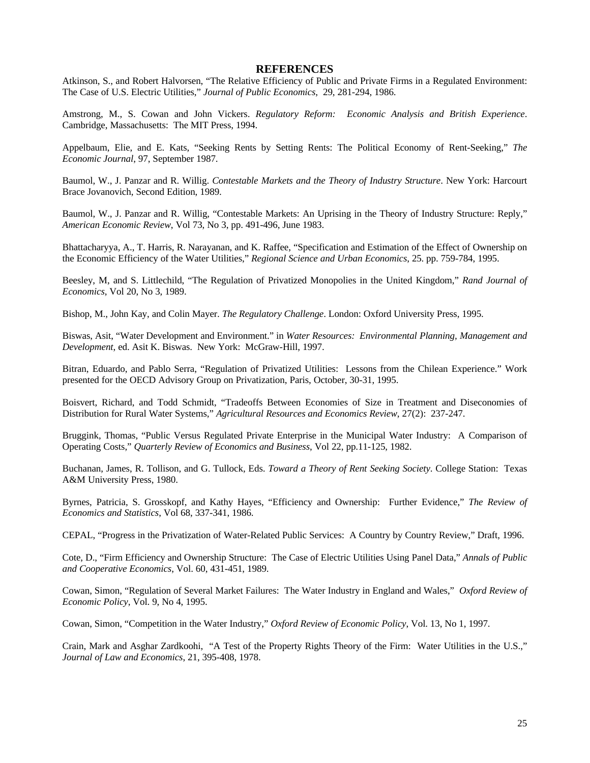#### **REFERENCES**

Atkinson, S., and Robert Halvorsen, "The Relative Efficiency of Public and Private Firms in a Regulated Environment: The Case of U.S. Electric Utilities," *Journal of Public Economics*, 29, 281-294, 1986.

Amstrong, M., S. Cowan and John Vickers. *Regulatory Reform: Economic Analysis and British Experience*. Cambridge, Massachusetts: The MIT Press, 1994.

Appelbaum, Elie, and E. Kats, "Seeking Rents by Setting Rents: The Political Economy of Rent-Seeking," *The Economic Journal*, 97, September 1987.

Baumol, W., J. Panzar and R. Willig. *Contestable Markets and the Theory of Industry Structure*. New York: Harcourt Brace Jovanovich, Second Edition, 1989.

Baumol, W., J. Panzar and R. Willig, "Contestable Markets: An Uprising in the Theory of Industry Structure: Reply," *American Economic Review*, Vol 73, No 3, pp. 491-496, June 1983.

Bhattacharyya, A., T. Harris, R. Narayanan, and K. Raffee, "Specification and Estimation of the Effect of Ownership on the Economic Efficiency of the Water Utilities," *Regional Science and Urban Economics*, 25. pp. 759-784, 1995.

Beesley, M, and S. Littlechild, "The Regulation of Privatized Monopolies in the United Kingdom," *Rand Journal of Economics*, Vol 20, No 3, 1989.

Bishop, M., John Kay, and Colin Mayer. *The Regulatory Challenge*. London: Oxford University Press, 1995.

Biswas, Asit, "Water Development and Environment." in *Water Resources: Environmental Planning, Management and Development*, ed. Asit K. Biswas. New York: McGraw-Hill, 1997.

Bitran, Eduardo, and Pablo Serra, "Regulation of Privatized Utilities: Lessons from the Chilean Experience." Work presented for the OECD Advisory Group on Privatization, Paris, October, 30-31, 1995.

Boisvert, Richard, and Todd Schmidt, "Tradeoffs Between Economies of Size in Treatment and Diseconomies of Distribution for Rural Water Systems," *Agricultural Resources and Economics Review*, 27(2): 237-247.

Bruggink, Thomas, "Public Versus Regulated Private Enterprise in the Municipal Water Industry: A Comparison of Operating Costs," *Quarterly Review of Economics and Business*, Vol 22, pp.11-125, 1982.

Buchanan, James, R. Tollison, and G. Tullock, Eds. *Toward a Theory of Rent Seeking Society*. College Station: Texas A&M University Press, 1980.

Byrnes, Patricia, S. Grosskopf, and Kathy Hayes, "Efficiency and Ownership: Further Evidence," *The Review of Economics and Statistics*, Vol 68, 337-341, 1986.

CEPAL, "Progress in the Privatization of Water-Related Public Services: A Country by Country Review," Draft, 1996.

Cote, D., "Firm Efficiency and Ownership Structure: The Case of Electric Utilities Using Panel Data," *Annals of Public and Cooperative Economics*, Vol. 60, 431-451, 1989.

Cowan, Simon, "Regulation of Several Market Failures: The Water Industry in England and Wales," *Oxford Review of Economic Policy*, Vol. 9, No 4, 1995.

Cowan, Simon, "Competition in the Water Industry," *Oxford Review of Economic Policy*, Vol. 13, No 1, 1997.

Crain, Mark and Asghar Zardkoohi, "A Test of the Property Rights Theory of the Firm: Water Utilities in the U.S.," *Journal of Law and Economics*, 21, 395-408, 1978.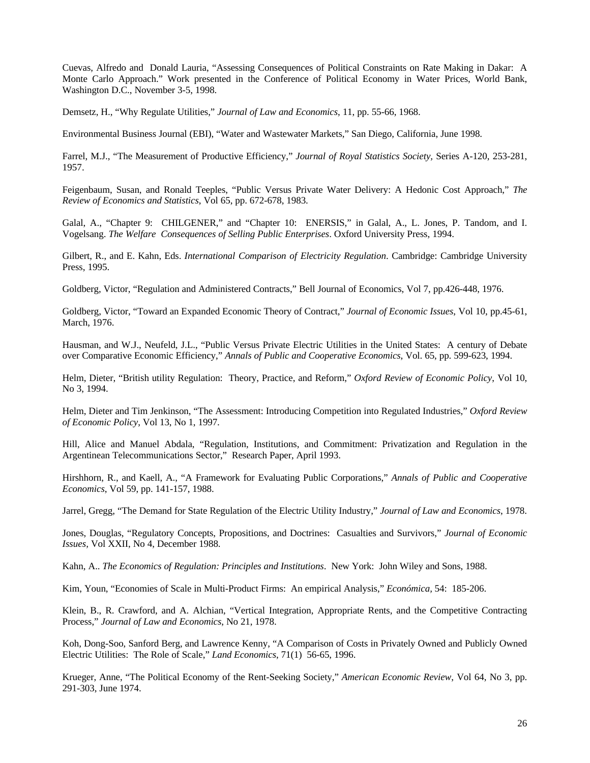Cuevas, Alfredo and Donald Lauria, "Assessing Consequences of Political Constraints on Rate Making in Dakar: A Monte Carlo Approach." Work presented in the Conference of Political Economy in Water Prices, World Bank, Washington D.C., November 3-5, 1998.

Demsetz, H., "Why Regulate Utilities," *Journal of Law and Economics*, 11, pp. 55-66, 1968.

Environmental Business Journal (EBI), "Water and Wastewater Markets," San Diego, California, June 1998.

Farrel, M.J., "The Measurement of Productive Efficiency," *Journal of Royal Statistics Society,* Series A-120, 253-281, 1957.

Feigenbaum, Susan, and Ronald Teeples, "Public Versus Private Water Delivery: A Hedonic Cost Approach," *The Review of Economics and Statistics*, Vol 65, pp. 672-678, 1983.

Galal, A., "Chapter 9: CHILGENER," and "Chapter 10: ENERSIS," in Galal, A., L. Jones, P. Tandom, and I. Vogelsang. *The Welfare Consequences of Selling Public Enterprises*. Oxford University Press, 1994.

Gilbert, R., and E. Kahn, Eds. *International Comparison of Electricity Regulation*. Cambridge: Cambridge University Press, 1995.

Goldberg, Victor, "Regulation and Administered Contracts," Bell Journal of Economics, Vol 7, pp.426-448, 1976.

Goldberg, Victor, "Toward an Expanded Economic Theory of Contract," *Journal of Economic Issues*, Vol 10, pp.45-61, March, 1976.

Hausman, and W.J., Neufeld, J.L., "Public Versus Private Electric Utilities in the United States: A century of Debate over Comparative Economic Efficiency," *Annals of Public and Cooperative Economics*, Vol. 65, pp. 599-623, 1994.

Helm, Dieter, "British utility Regulation: Theory, Practice, and Reform," *Oxford Review of Economic Policy*, Vol 10, No 3, 1994.

Helm, Dieter and Tim Jenkinson, "The Assessment: Introducing Competition into Regulated Industries," *Oxford Review of Economic Policy*, Vol 13, No 1, 1997.

Hill, Alice and Manuel Abdala, "Regulation, Institutions, and Commitment: Privatization and Regulation in the Argentinean Telecommunications Sector," Research Paper, April 1993.

Hirshhorn, R., and Kaell, A., "A Framework for Evaluating Public Corporations," *Annals of Public and Cooperative Economics*, Vol 59, pp. 141-157, 1988.

Jarrel, Gregg, "The Demand for State Regulation of the Electric Utility Industry," *Journal of Law and Economics*, 1978.

Jones, Douglas, "Regulatory Concepts, Propositions, and Doctrines: Casualties and Survivors," *Journal of Economic Issues,* Vol XXII, No 4, December 1988.

Kahn, A.. *The Economics of Regulation: Principles and Institutions*. New York: John Wiley and Sons, 1988.

Kim, Youn, "Economies of Scale in Multi-Product Firms: An empirical Analysis," *Económica,* 54: 185-206.

Klein, B., R. Crawford, and A. Alchian, "Vertical Integration, Appropriate Rents, and the Competitive Contracting Process," *Journal of Law and Economics*, No 21, 1978.

Koh, Dong-Soo, Sanford Berg, and Lawrence Kenny, "A Comparison of Costs in Privately Owned and Publicly Owned Electric Utilities: The Role of Scale," *Land Economics*, 71(1) 56-65, 1996.

Krueger, Anne, "The Political Economy of the Rent-Seeking Society," *American Economic Review*, Vol 64, No 3, pp. 291-303, June 1974.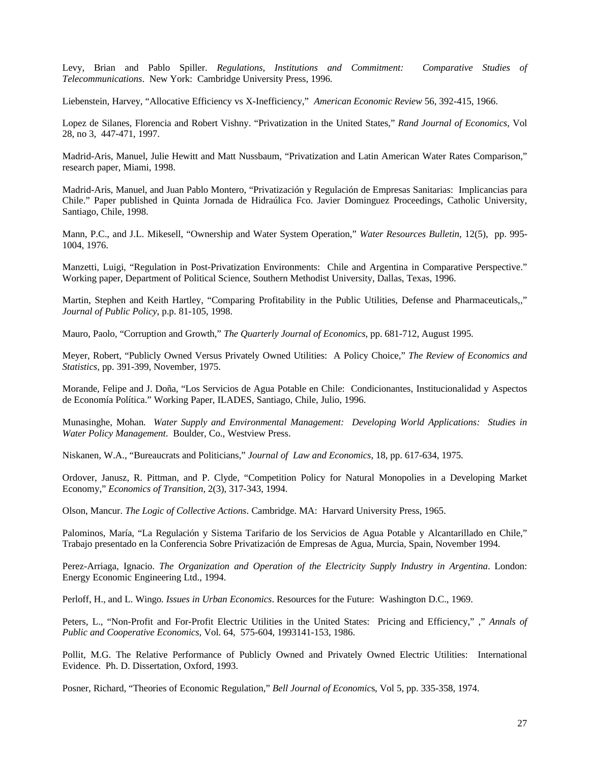Levy, Brian and Pablo Spiller. *Regulations, Institutions and Commitment: Comparative Studies of Telecommunications*. New York: Cambridge University Press, 1996.

Liebenstein, Harvey, "Allocative Efficiency vs X-Inefficiency," *American Economic Review* 56, 392-415, 1966.

Lopez de Silanes, Florencia and Robert Vishny. "Privatization in the United States," *Rand Journal of Economics*, Vol 28, no 3, 447-471, 1997.

Madrid-Aris, Manuel, Julie Hewitt and Matt Nussbaum, "Privatization and Latin American Water Rates Comparison," research paper, Miami, 1998.

Madrid-Aris, Manuel, and Juan Pablo Montero, "Privatización y Regulación de Empresas Sanitarias: Implicancias para Chile." Paper published in Quinta Jornada de Hidraúlica Fco. Javier Dominguez Proceedings, Catholic University, Santiago, Chile, 1998.

Mann, P.C., and J.L. Mikesell, "Ownership and Water System Operation," *Water Resources Bulletin*, 12(5), pp. 995- 1004, 1976.

Manzetti, Luigi, "Regulation in Post-Privatization Environments: Chile and Argentina in Comparative Perspective." Working paper, Department of Political Science, Southern Methodist University, Dallas, Texas, 1996.

Martin, Stephen and Keith Hartley, "Comparing Profitability in the Public Utilities, Defense and Pharmaceuticals,," *Journal of Public Policy*, p.p. 81-105, 1998.

Mauro, Paolo, "Corruption and Growth," *The Quarterly Journal of Economics*, pp. 681-712, August 1995.

Meyer, Robert, "Publicly Owned Versus Privately Owned Utilities: A Policy Choice," *The Review of Economics and Statistics*, pp. 391-399, November, 1975.

Morande, Felipe and J. Doña, "Los Servicios de Agua Potable en Chile: Condicionantes, Institucionalidad y Aspectos de Economía Política." Working Paper, ILADES, Santiago, Chile, Julio, 1996.

Munasinghe, Mohan*. Water Supply and Environmental Management: Developing World Applications: Studies in Water Policy Management*. Boulder, Co., Westview Press.

Niskanen, W.A., "Bureaucrats and Politicians," *Journal of Law and Economics*, 18, pp. 617-634, 1975.

Ordover, Janusz, R. Pittman, and P. Clyde, "Competition Policy for Natural Monopolies in a Developing Market Economy," *Economics of Transition*, 2(3), 317-343, 1994.

Olson, Mancur. *The Logic of Collective Actions*. Cambridge. MA: Harvard University Press, 1965.

Palominos, María, "La Regulación y Sistema Tarifario de los Servicios de Agua Potable y Alcantarillado en Chile," Trabajo presentado en la Conferencia Sobre Privatización de Empresas de Agua, Murcia, Spain, November 1994.

Perez-Arriaga, Ignacio. *The Organization and Operation of the Electricity Supply Industry in Argentina*. London: Energy Economic Engineering Ltd., 1994.

Perloff, H., and L. Wingo*. Issues in Urban Economics*. Resources for the Future: Washington D.C., 1969.

Peters, L., "Non-Profit and For-Profit Electric Utilities in the United States: Pricing and Efficiency," ," *Annals of Public and Cooperative Economics,* Vol. 64, 575-604, 1993141-153, 1986.

Pollit, M.G. The Relative Performance of Publicly Owned and Privately Owned Electric Utilities: International Evidence. Ph. D. Dissertation, Oxford, 1993.

Posner, Richard, "Theories of Economic Regulation," *Bell Journal of Economic*s, Vol 5, pp. 335-358, 1974.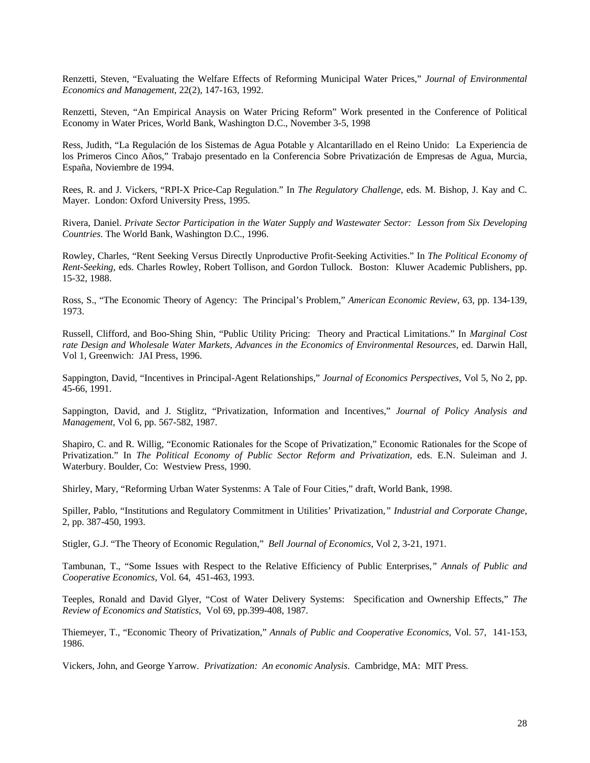Renzetti, Steven, "Evaluating the Welfare Effects of Reforming Municipal Water Prices," *Journal of Environmental Economics and Management*, 22(2), 147-163, 1992.

Renzetti, Steven, "An Empirical Anaysis on Water Pricing Reform" Work presented in the Conference of Political Economy in Water Prices, World Bank, Washington D.C., November 3-5, 1998

Ress, Judith, "La Regulación de los Sistemas de Agua Potable y Alcantarillado en el Reino Unido: La Experiencia de los Primeros Cinco Años," Trabajo presentado en la Conferencia Sobre Privatización de Empresas de Agua, Murcia, España, Noviembre de 1994.

Rees, R. and J. Vickers, "RPI-X Price-Cap Regulation." In *The Regulatory Challenge*, eds. M. Bishop, J. Kay and C. Mayer. London: Oxford University Press, 1995.

Rivera, Daniel. *Private Sector Participation in the Water Supply and Wastewater Sector: Lesson from Six Developing Countries*. The World Bank, Washington D.C., 1996.

Rowley, Charles, "Rent Seeking Versus Directly Unproductive Profit-Seeking Activities." In *The Political Economy of Rent-Seeking*, eds. Charles Rowley, Robert Tollison, and Gordon Tullock. Boston: Kluwer Academic Publishers, pp. 15-32, 1988.

Ross, S., "The Economic Theory of Agency: The Principal's Problem," *American Economic Review*, 63, pp. 134-139, 1973.

Russell, Clifford, and Boo-Shing Shin, "Public Utility Pricing: Theory and Practical Limitations." In *Marginal Cost rate Design and Wholesale Water Markets, Advances in the Economics of Environmental Resources*, ed. Darwin Hall, Vol 1, Greenwich: JAI Press, 1996.

Sappington, David, "Incentives in Principal-Agent Relationships," *Journal of Economics Perspectives*, Vol 5, No 2, pp. 45-66, 1991.

Sappington, David, and J. Stiglitz, "Privatization, Information and Incentives," *Journal of Policy Analysis and Management*, Vol 6, pp. 567-582, 1987.

Shapiro, C. and R. Willig, "Economic Rationales for the Scope of Privatization," Economic Rationales for the Scope of Privatization." In *The Political Economy of Public Sector Reform and Privatization*, eds. E.N. Suleiman and J. Waterbury. Boulder, Co: Westview Press, 1990.

Shirley, Mary, "Reforming Urban Water Systenms: A Tale of Four Cities," draft, World Bank, 1998.

Spiller, Pablo, "Institutions and Regulatory Commitment in Utilities' Privatization*," Industrial and Corporate Change*, 2, pp. 387-450, 1993.

Stigler, G.J. "The Theory of Economic Regulation," *Bell Journal of Economics*, Vol 2, 3-21, 1971.

Tambunan, T., "Some Issues with Respect to the Relative Efficiency of Public Enterprises*," Annals of Public and Cooperative Economics*, Vol. 64, 451-463, 1993.

Teeples, Ronald and David Glyer, "Cost of Water Delivery Systems: Specification and Ownership Effects," *The Review of Economics and Statistics*, Vol 69, pp.399-408, 1987.

Thiemeyer, T., "Economic Theory of Privatization," *Annals of Public and Cooperative Economics,* Vol. 57, 141-153, 1986.

Vickers, John, and George Yarrow. *Privatization: An economic Analysis*. Cambridge, MA: MIT Press.